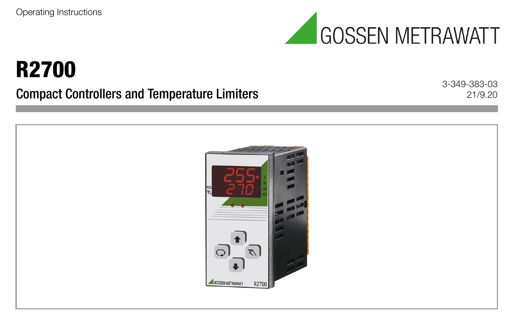Operating Instructions



# R2700

### Compact Controllers and Temperature Limiters

3-349-383-03 21/9.20

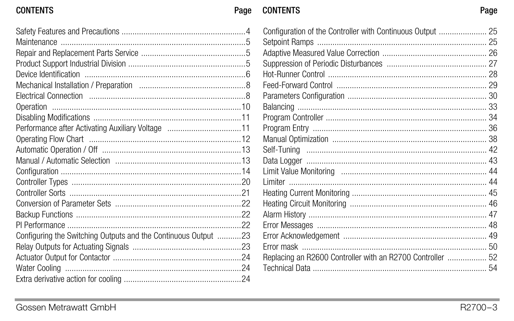#### **CONTENTS**

Page CONTENTS

| ۰,<br>. .<br>$\sim$<br>v<br>۰. |
|--------------------------------|
|--------------------------------|

| Configuring the Switching Outputs and the Continuous Output 23 |  |
|----------------------------------------------------------------|--|
|                                                                |  |
|                                                                |  |
|                                                                |  |
|                                                                |  |

| Replacing an R2600 Controller with an R2700 Controller  52 |  |
|------------------------------------------------------------|--|
|                                                            |  |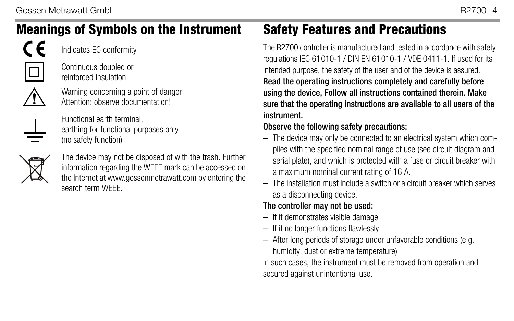## Meanings of Symbols on the Instrument Safety Features and Precautions



Indicates EC conformity



Continuous doubled or reinforced insulation



Warning concerning a point of danger Attention: observe documentation!



Functional earth terminal, earthing for functional purposes only (no safety function)



The device may not be disposed of with the trash. Further information regarding the WEEE mark can be accessed on the Internet at www.gossenmetrawatt.com by entering the search term WEEE.

<span id="page-3-0"></span>The R2700 controller is manufactured and tested in accordance with safety regulations IEC 61010-1 / DIN EN 61010-1 / VDE 0411-1. If used for its intended purpose, the safety of the user and of the device is assured. Read the operating instructions completely and carefully before using the device, Follow all instructions contained therein. Make sure that the operating instructions are available to all users of the instrument.

### Observe the following safety precautions:

- The device may only be connected to an electrical system which complies with the specified nominal range of use (see circuit diagram and serial plate), and which is protected with a fuse or circuit breaker with a maximum nominal current rating of 16 A.
- The installation must include a switch or a circuit breaker which serves as a disconnecting device.

### The controller may not be used:

- If it demonstrates visible damage
- If it no longer functions flawlessly
- After long periods of storage under unfavorable conditions (e.g. humidity, dust or extreme temperature)

In such cases, the instrument must be removed from operation and secured against unintentional use.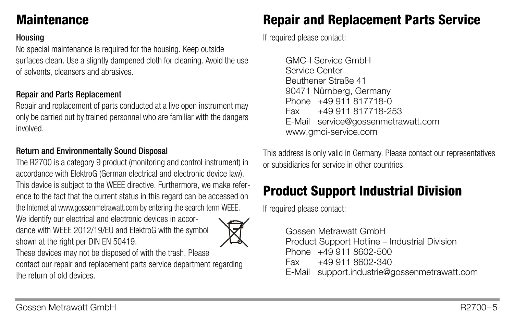### <span id="page-4-0"></span>**Maintenance**

#### Housing

No special maintenance is required for the housing. Keep outside surfaces clean. Use a slightly dampened cloth for cleaning. Avoid the use of solvents, cleansers and abrasives.

#### Repair and Parts Replacement

Repair and replacement of parts conducted at a live open instrument may only be carried out by trained personnel who are familiar with the dangers involved.

#### Return and Environmentally Sound Disposal

The R2700 is a category 9 product (monitoring and control instrument) in accordance with ElektroG (German electrical and electronic device law). This device is subject to the WEEE directive. Furthermore, we make reference to the fact that the current status in this regard can be accessed on the Internet at www.gossenmetrawatt.com by entering the search term WEEE.

We identify our electrical and electronic devices in accordance with WEEE 2012/19/EU and ElektroG with the symbol shown at the right per DIN EN 50419.



These devices may not be disposed of with the trash. Please contact our repair and replacement parts service department regarding the return of old devices.

### <span id="page-4-1"></span>Repair and Replacement Parts Service

If required please contact:

GMC-I Service GmbH Service Center Beuthener Straße 41 90471 Nürnberg, Germany Phone +49 911 817718-0 Fax +49 911 817718-253 E-Mail service@gossenmetrawatt.com www.gmci-service.com

This address is only valid in Germany. Please contact our representatives or subsidiaries for service in other countries.

## <span id="page-4-2"></span>Product Support Industrial Division

If required please contact:

Gossen Metrawatt GmbH Product Support Hotline – Industrial Division Phone +49 911 8602-500 Fax +49 911 8602-340 E-Mail support.industrie@gossenmetrawatt.com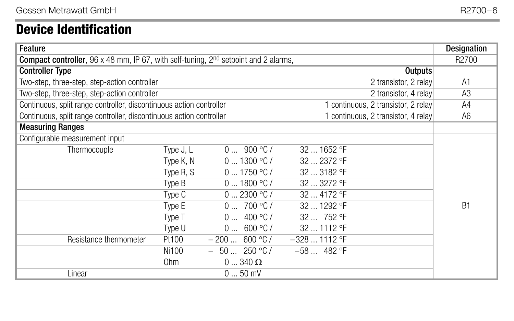### <span id="page-5-0"></span>Device Identification

| Feature                                                                                                 |           |                      |                                     | Designation |
|---------------------------------------------------------------------------------------------------------|-----------|----------------------|-------------------------------------|-------------|
| <b>Compact controller</b> , 96 x 48 mm, IP 67, with self-tuning, 2 <sup>nd</sup> setpoint and 2 alarms, |           |                      |                                     | R2700       |
| <b>Controller Type</b>                                                                                  |           |                      | <b>Outputs</b>                      |             |
| Two-step, three-step, step-action controller                                                            |           |                      | 2 transistor, 2 relay               | A1          |
| Two-step, three-step, step-action controller                                                            |           |                      | 2 transistor, 4 relay               | A3          |
| Continuous, split range controller, discontinuous action controller                                     |           |                      | 1 continuous, 2 transistor, 2 relay | A4          |
| Continuous, split range controller, discontinuous action controller                                     |           |                      | 1 continuous, 2 transistor, 4 relay | A6          |
| <b>Measuring Ranges</b>                                                                                 |           |                      |                                     |             |
| Configurable measurement input                                                                          |           |                      |                                     |             |
| Thermocouple                                                                                            | Type J, L | 0900 °C/             | 32  1652 °F                         |             |
|                                                                                                         | Type K, N | 01300 °C/            | 32  2372 °F                         |             |
|                                                                                                         | Type R, S | 01750 °C/            | 32  3182 °F                         |             |
|                                                                                                         | Type B    | 01800 °C/            | 32  3272 °F                         |             |
|                                                                                                         | Type C    | 02300 °C/            | 32  4172 °F                         |             |
|                                                                                                         | Type E    | 0700 °C/             | 32  1292 °F                         | <b>B1</b>   |
|                                                                                                         | Type T    | 0400 °C/             | 32 752 °F                           |             |
|                                                                                                         | Type U    | 0 600 °C/            | 32  1112 °F                         |             |
| Resistance thermometer                                                                                  | Pt100     | $-200 600 °C/$       | $-328$ 1112 °F                      |             |
|                                                                                                         | Ni100     | $-50250 °C/$         | $-58$ 482 °F                        |             |
|                                                                                                         | 0hm       | $0 \dots 340 \Omega$ |                                     |             |
| Linear                                                                                                  |           | $050$ mV             |                                     |             |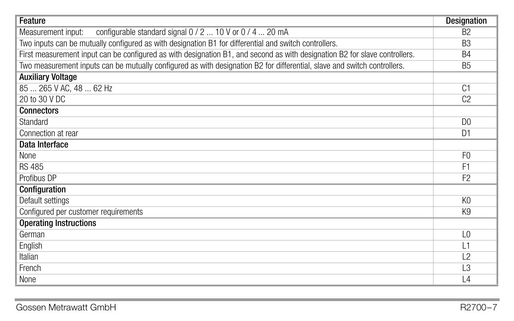| Feature                                                                                                                    | <b>Designation</b> |
|----------------------------------------------------------------------------------------------------------------------------|--------------------|
| configurable standard signal 0 / 2  10 V or 0 / 4  20 mA<br>Measurement input:                                             | <b>B2</b>          |
| Two inputs can be mutually configured as with designation B1 for differential and switch controllers.                      | B <sub>3</sub>     |
| First measurement input can be configured as with designation B1, and second as with designation B2 for slave controllers. | B <sub>4</sub>     |
| Two measurement inputs can be mutually configured as with designation B2 for differential, slave and switch controllers.   | B <sub>5</sub>     |
| <b>Auxiliary Voltage</b>                                                                                                   |                    |
| 85  265 V AC, 48  62 Hz                                                                                                    | C <sub>1</sub>     |
| 20 to 30 V DC                                                                                                              | C <sub>2</sub>     |
| <b>Connectors</b>                                                                                                          |                    |
| Standard                                                                                                                   | D <sub>0</sub>     |
| Connection at rear                                                                                                         | D1                 |
| Data Interface                                                                                                             |                    |
| None                                                                                                                       | F <sub>0</sub>     |
| <b>RS 485</b>                                                                                                              | F <sub>1</sub>     |
| Profibus DP                                                                                                                | F <sub>2</sub>     |
| Configuration                                                                                                              |                    |
| Default settings                                                                                                           | K <sub>0</sub>     |
| Configured per customer requirements                                                                                       | K9                 |
| <b>Operating Instructions</b>                                                                                              |                    |
| German                                                                                                                     | L <sub>0</sub>     |
| English                                                                                                                    | 1                  |
| Italian                                                                                                                    | $\frac{12}{2}$     |
| French                                                                                                                     | $\mathsf{L}3$      |
| None                                                                                                                       | $\lfloor 4$        |

m.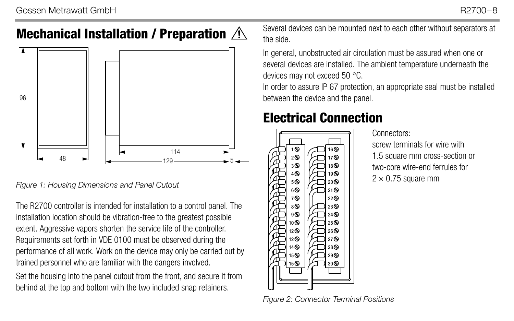### <span id="page-7-0"></span>Mechanical Installation / Preparation  $\triangle$



Figure 1: Housing Dimensions and Panel Cutout

The R2700 controller is intended for installation to a control panel. The installation location should be vibration-free to the greatest possible extent. Aggressive vapors shorten the service life of the controller. Requirements set forth in VDE 0100 must be observed during the performance of all work. Work on the device may only be carried out by trained personnel who are familiar with the dangers involved.

Set the housing into the panel cutout from the front, and secure it from behind at the top and bottom with the two included snap retainers.

Several devices can be mounted next to each other without separators at the side.

In general, unobstructed air circulation must be assured when one or several devices are installed. The ambient temperature underneath the devices may not exceed 50 °C.

In order to assure IP 67 protection, an appropriate seal must be installed between the device and the panel.

### <span id="page-7-1"></span>Electrical Connection



Connectors: screw terminals for wire with 1.5 square mm cross-section or two-core wire-end ferrules for  $2 \times 0.75$  square mm

Figure 2: Connector Terminal Positions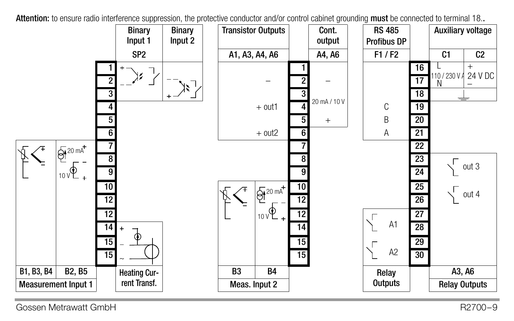Attention: to ensure radio interference suppression, the protective conductor and/or control cabinet grounding must be connected to terminal 18..



Gossen Metrawatt GmbH R2700–9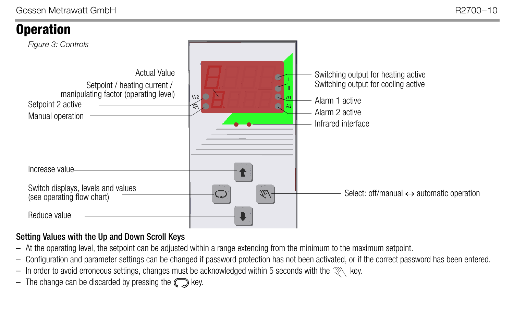### <span id="page-9-0"></span>**Operation**



#### Setting Values with the Up and Down Scroll Keys

- At the operating level, the setpoint can be adjusted within a range extending from the minimum to the maximum setpoint.
- Configuration and parameter settings can be changed if password protection has not been activated, or if the correct password has been entered.
- In order to avoid erroneous settings, changes must be acknowledged within 5 seconds with the  $\mathbb{N}\setminus\mathbb{R}$ ey.
- The change can be discarded by pressing the  $\odot$  key.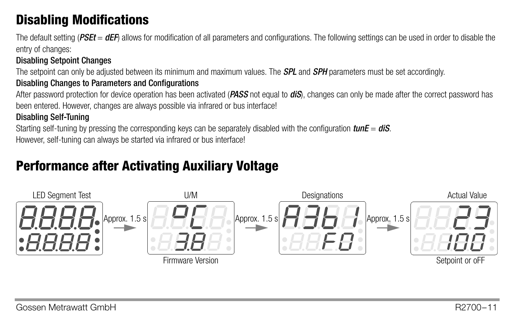### <span id="page-10-0"></span>Disabling Modifications

The default setting (*PSEt* =  $dE$ F) allows for modification of all parameters and configurations. The following settings can be used in order to disable the entry of changes:

#### Disabling Setpoint Changes

The setpoint can only be adjusted between its minimum and maximum values. The **SPL** and **SPH** parameters must be set accordingly.

#### Disabling Changes to Parameters and Configurations

After password protection for device operation has been activated (PASS not equal to diS), changes can only be made after the correct password has been entered. However, changes are always possible via infrared or bus interface!

#### Disabling Self-Tuning

Starting self-tuning by pressing the corresponding keys can be separately disabled with the configuration  $tunE = dis$ . However, self-tuning can always be started via infrared or bus interface!

### <span id="page-10-1"></span>Performance after Activating Auxiliary Voltage

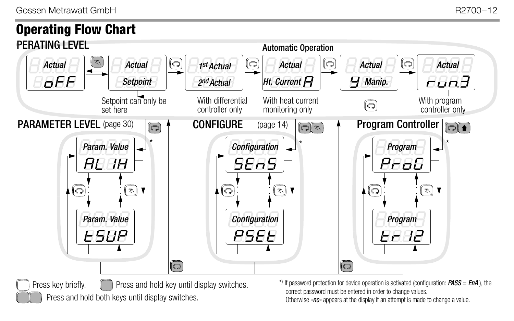### <span id="page-11-0"></span>Operating Flow Chart **PERATING LEVEL**



Press key briefly. **Press and hold key until display switches.** Press and hold both keys until display switches.

\*) If password protection for device operation is activated (configuration:  $PASS = EnA$ ), the correct password must be entered in order to change values. Otherwise -no- appears at the display if an attempt is made to change a value.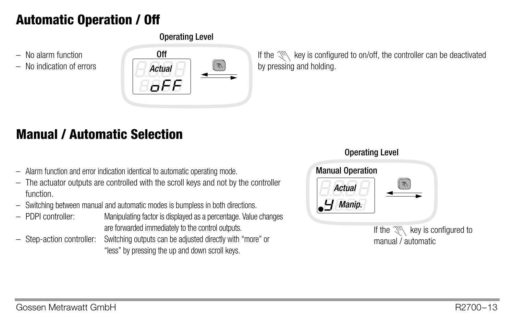### <span id="page-12-0"></span>Automatic Operation / Off

– No alarm function Off

– No indication of errors



If the  $\mathbb{N}\setminus\mathbb{R}$  key is configured to on/off, the controller can be deactivated by pressing and holding.

### <span id="page-12-1"></span>Manual / Automatic Selection

- Alarm function and error indication identical to automatic operating mode.
- The actuator outputs are controlled with the scroll keys and not by the controller function.
- Switching between manual and automatic modes is bumpless in both directions.
- PDPI controller: Manipulating factor is displayed as a percentage. Value changes are forwarded immediately to the control outputs.
- Step-action controller: Switching outputs can be adjusted directly with "more" or "less" by pressing the up and down scroll keys.

#### Operating Level



If the  $\mathbb{N}\setminus\mathbb{R}$  key is configured to manual / automatic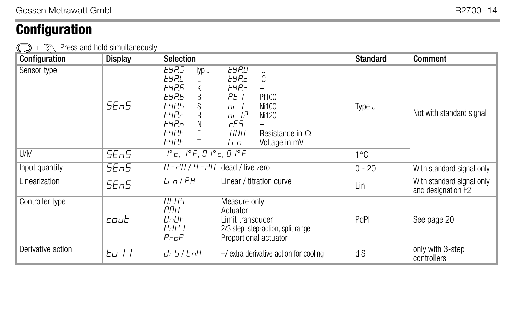### <span id="page-13-0"></span>**Configuration**

 $+ \sqrt[3]{\mathbb{N}}$  Press and hold simultaneously

| Configuration     | <b>Display</b> | <b>Selection</b>                                                                                                                                                                                                                                                                                                  | <b>Standard</b> | <b>Comment</b>                                  |
|-------------------|----------------|-------------------------------------------------------------------------------------------------------------------------------------------------------------------------------------------------------------------------------------------------------------------------------------------------------------------|-----------------|-------------------------------------------------|
| Sensor type       | 5En5           | EYPJ.<br><b>LYPU</b><br>Typ J<br>U<br><b>LYPL</b><br><i>E</i> SP.c<br>C<br>EYP.R<br>EYP-<br>Κ<br><b>ЕУРЬ</b><br>PLI<br>В<br>Pt100<br>EYP.S<br>S<br>Ni100<br>nı I<br><b>EYPr</b><br>R<br>51 וח<br>Ni120<br>rES<br>EYP.n<br>Ν<br><i>EYPE</i><br>ОНП<br>E<br>Resistance in $\Omega$<br>EYPE<br>Voltage in mV<br>Lı n | Type J          | Not with standard signal                        |
| U/M               | 5En5           | $I^{\circ}$ c. $I^{\circ}F$ . $I\!I$ $I^{\circ}$ c. $I\!I$ $I^{\circ}F$                                                                                                                                                                                                                                           | $1^{\circ}$ C   |                                                 |
| Input quantity    | 5En5           | $\Box$ - 20 / 4 - 20 dead / live zero                                                                                                                                                                                                                                                                             | $0 - 20$        | With standard signal only                       |
| Linearization     | 5En5           | $L_1$ n / PH<br>Linear / titration curve                                                                                                                                                                                                                                                                          | Lin             | With standard signal only<br>and designation F2 |
| Controller type   | cout           | NEAS<br>Measure only<br>РОН<br>Actuator<br>OnOF<br>Limit transducer<br>PdP I<br>2/3 step, step-action, split range<br>$P_{\Gamma}$<br>Proportional actuator                                                                                                                                                       | PdPI            | See page 20                                     |
| Derivative action | $E_U$          | dı 5 / EnA<br>$-$ / extra derivative action for cooling                                                                                                                                                                                                                                                           | diS             | only with 3-step<br>controllers                 |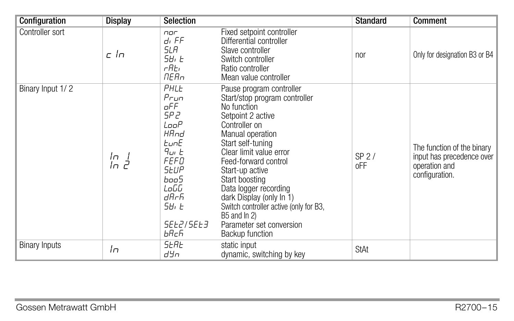| Configuration        | <b>Display</b> | <b>Selection</b>                                                                                                                                     |                                                                                                                                                                                                                                                                                                                                                                                                               | <b>Standard</b> | <b>Comment</b>                                                                             |
|----------------------|----------------|------------------------------------------------------------------------------------------------------------------------------------------------------|---------------------------------------------------------------------------------------------------------------------------------------------------------------------------------------------------------------------------------------------------------------------------------------------------------------------------------------------------------------------------------------------------------------|-----------------|--------------------------------------------------------------------------------------------|
| Controller sort      | c In           | nor<br>dı FF<br>5LA<br>SH <sub>I</sub> E<br>rfiti<br>NEAn                                                                                            | Fixed setpoint controller<br>Differential controller<br>Slave controller<br>Switch controller<br>Ratio controller<br>Mean value controller                                                                                                                                                                                                                                                                    | nor             | Only for designation B3 or B4                                                              |
| Binary Input 1/2     | ן חן<br>הו     | PHLE<br>Prun<br>aFF.<br>SP 2<br>LooP<br><b>HRnd</b><br>tunE<br>$9th$ E<br>FEFO<br><b>SEUP</b><br>boo5.<br>LoGG<br>dRrh<br>58, E<br>5EE2/5EE3<br>bRch | Pause program controller<br>Start/stop program controller<br>No function<br>Setpoint 2 active<br>Controller on<br>Manual operation<br>Start self-tuning<br>Clear limit value error<br>Feed-forward control<br>Start-up active<br>Start boosting<br>Data logger recording<br>dark Display (only In 1)<br>Switch controller active (only for B3,<br>B5 and ln 2)<br>Parameter set conversion<br>Backup function | $SP2$ /<br>oFF  | The function of the binary<br>input has precedence over<br>operation and<br>configuration. |
| <b>Binary Inputs</b> | In             | SERE<br>dYn                                                                                                                                          | static input<br>dynamic, switching by key                                                                                                                                                                                                                                                                                                                                                                     | <b>StAt</b>     |                                                                                            |

п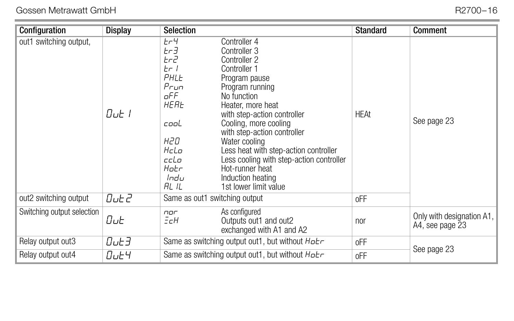| Configuration              | <b>Display</b> | Selection                                                                                                                                                                                                                                                                                                                                                                                                                                                                                                                               | <b>Standard</b> | <b>Comment</b>                               |
|----------------------------|----------------|-----------------------------------------------------------------------------------------------------------------------------------------------------------------------------------------------------------------------------------------------------------------------------------------------------------------------------------------------------------------------------------------------------------------------------------------------------------------------------------------------------------------------------------------|-----------------|----------------------------------------------|
| out1 switching output,     | ∏uF I          | $E - 4$<br>Controller 4<br>$E \cap \exists$<br>Controller 3<br>Er2<br>Controller 2<br>tr1<br>Controller 1<br>PHLE<br>Program pause<br>Prun<br>Program running<br>oFF.<br>No function<br>HEAL<br>Heater, more heat<br>with step-action controller<br>Cooling, more cooling<br>cool<br>with step-action controller<br>H20<br>Water cooling<br>HcLo<br>Less heat with step-action controller<br>ccLo<br>Less cooling with step-action controller<br>Hotr<br>Hot-runner heat<br>Induction heating<br>Indu<br>AL IL<br>1st lower limit value | HEAt            | See page 23                                  |
| out2 switching output      | Out 2          | Same as out1 switching output                                                                                                                                                                                                                                                                                                                                                                                                                                                                                                           | 0FF             |                                              |
| Switching output selection | Out            | As configured<br>nor<br>$E$ cH<br>Outputs out1 and out2<br>exchanged with A1 and A2                                                                                                                                                                                                                                                                                                                                                                                                                                                     | nor             | Only with designation A1,<br>A4, see page 23 |
| Relay output out3          | 0uE3           | Same as switching output out1, but without Hotr                                                                                                                                                                                                                                                                                                                                                                                                                                                                                         | 0FF             | See page 23                                  |
| Relay output out4          | 0uE4           | Same as switching output out1, but without $H_{\alpha\beta}r$                                                                                                                                                                                                                                                                                                                                                                                                                                                                           | 0FF             |                                              |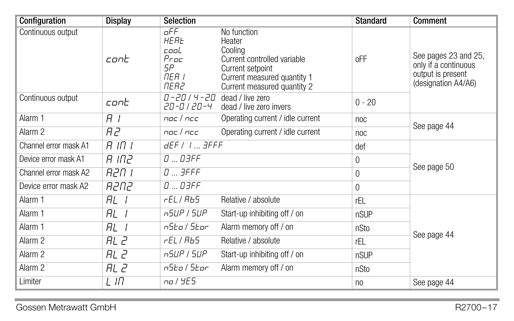| Configuration         | <b>Display</b> | <b>Selection</b>                                    |                                                                                                                                                   | <b>Standard</b> | <b>Comment</b>                                                                           |
|-----------------------|----------------|-----------------------------------------------------|---------------------------------------------------------------------------------------------------------------------------------------------------|-----------------|------------------------------------------------------------------------------------------|
| Continuous output     | cont           | oFF.<br>HEAL<br>cool<br>Proc<br>5P<br>NEA I<br>neaz | No function<br>Heater<br>Cooling<br>Current controlled variable<br>Current setpoint<br>Current measured quantity 1<br>Current measured quantity 2 | 0FF             | See pages 23 and 25,<br>only if a continuous<br>output is present<br>(designation A4/A6) |
| Continuous output     | cont           | 20-0 / 20-4                                         | $\Box$ - 2 $\Box$ / 4 - 2 $\Box$ dead / live zero<br>dead / live zero invers                                                                      | $0 - 20$        |                                                                                          |
| Alarm 1               | AΙ             | noc / ncc                                           | Operating current / idle current                                                                                                                  | noc             |                                                                                          |
| Alarm 2               | Я2             | noc I ncc                                           | Operating current / idle current                                                                                                                  | noc             | See page 44                                                                              |
| Channel error mask A1 | ו חו A         | dEF / 1  3FFF                                       |                                                                                                                                                   | def             |                                                                                          |
| Device error mask A1  | הו ח           | 0  03FF                                             |                                                                                                                                                   | 0               |                                                                                          |
| Channel error mask A2 | RZN I          | $0 \ldots$ $JFFF$                                   |                                                                                                                                                   | $\Omega$        | See page 50                                                                              |
| Device error mask A2  | R2N2           | 0  03FF                                             |                                                                                                                                                   | 0               |                                                                                          |
| Alarm 1               | RI I           | rEL / AbS                                           | Relative / absolute                                                                                                                               | rEL             |                                                                                          |
| Alarm 1               | AI I           | nSUP / SUP                                          | Start-up inhibiting off / on                                                                                                                      | nSUP            |                                                                                          |
| Alarm 1               | AL I           | n5to / Stor                                         | Alarm memory off / on                                                                                                                             | nSto            | See page 44                                                                              |
| Alarm 2               | AL 2           | rEL / RbS                                           | Relative / absolute                                                                                                                               | rEL             |                                                                                          |
| Alarm 2               | AL 2           | n5UP / SUP                                          | Start-up inhibiting off / on                                                                                                                      | nSUP            |                                                                                          |
| Alarm <sub>2</sub>    | AL 2           | n5to / Stor                                         | Alarm memory off / on                                                                                                                             | nSto            |                                                                                          |
| Limiter               | L IN           | no / YES                                            |                                                                                                                                                   | n <sub>0</sub>  | See page 44                                                                              |

<span id="page-16-0"></span>п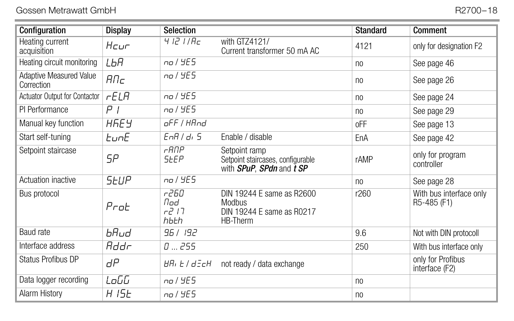| Configuration                                | <b>Display</b> | <b>Selection</b>              |                                                                                              | <b>Standard</b> | <b>Comment</b>                         |
|----------------------------------------------|----------------|-------------------------------|----------------------------------------------------------------------------------------------|-----------------|----------------------------------------|
| Heating current<br>acquisition               | Hcur           | 4121/Hz                       | with GTZ4121/<br>Current transformer 50 mA AC                                                | 4121            | only for designation F2                |
| Heating circuit monitoring                   | ιья            | na / 4E5                      |                                                                                              | n <sub>0</sub>  | See page 46                            |
| <b>Adaptive Measured Value</b><br>Correction | AПг            | no / YES                      |                                                                                              | no              | See page 26                            |
| Actuator Output for Contactor                | rFI A          | na / 4E5                      |                                                                                              | no              | See page 24                            |
| PI Performance                               | ΡI             | no / YES                      |                                                                                              | no              | See page 29                            |
| Manual key function                          | HFEY           | oFF / HAnd                    |                                                                                              | <b>oFF</b>      | See page 13                            |
| Start self-tuning                            | EunE           | $EnH/d1$ 5                    | Enable / disable                                                                             | EnA             | See page 42                            |
| Setpoint staircase                           | 5P             | <b>GRAP</b><br><b>SEEP</b>    | Setpoint ramp<br>Setpoint staircases, configurable<br>with <b>SPuP, SPdn</b> and <i>t SP</i> | rAMP            | only for program<br>controller         |
| Actuation inactive                           | SEUP           | na / 4E5                      |                                                                                              | no              | See page 28                            |
| Bus protocol                                 | Prot           | r260<br>Nod<br>$-217$<br>hbth | DIN 19244 E same as R2600<br>Modbus<br>DIN 19244 E same as R0217<br>HB-Therm                 | r260            | With bus interface only<br>R5-485 (F1) |
| Baud rate                                    | bAud           | 96 / 192                      |                                                                                              | 9.6             | Not with DIN protocoll                 |
| Interface address                            | Addr           | 0255                          |                                                                                              | 250             | With bus interface only                |
| Status Profibus DP                           | нP             | HRIE/dEcH                     | not ready / data exchange                                                                    |                 | only for Profibus<br>interface (F2)    |
| Data logger recording                        | LoGG           | no / YES                      |                                                                                              | no              |                                        |
| Alarm History                                | H 15E          | no / YES                      |                                                                                              | n <sub>0</sub>  |                                        |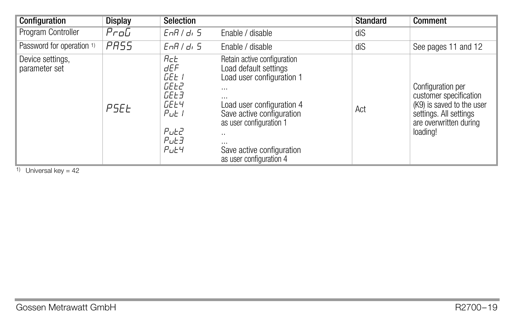| Configuration                     | <b>Display</b> | Selection                                                                                                                                             |                                                                                                                                                                                                                                                                                 | <b>Standard</b> | <b>Comment</b>                                                                                                                           |
|-----------------------------------|----------------|-------------------------------------------------------------------------------------------------------------------------------------------------------|---------------------------------------------------------------------------------------------------------------------------------------------------------------------------------------------------------------------------------------------------------------------------------|-----------------|------------------------------------------------------------------------------------------------------------------------------------------|
| Program Controller                | ProG           | EnR / di 5                                                                                                                                            | Enable / disable                                                                                                                                                                                                                                                                | diS             |                                                                                                                                          |
| Password for operation 1)         | PASS           | $EnR/d1$ 5                                                                                                                                            | Enable / disable                                                                                                                                                                                                                                                                | diS             | See pages 11 and 12                                                                                                                      |
| Device settings,<br>parameter set | PSFF           | Act<br>dEF<br>GEE I<br><i>GEE2</i><br>GEE3<br><b>GEE4</b><br>$Pu$ $\vdash$ $\vdash$<br>P <sub>ut</sub> 2<br>$P$ ut 3<br>P <sub>u</sub> F <sub>H</sub> | Retain active configuration<br>Load default settings<br>Load user configuration 1<br>$\cdots$<br>$\cdots$<br>Load user configuration 4<br>Save active configuration<br>as user configuration 1<br>$\cdot$ .<br>$\cdots$<br>Save active configuration<br>as user configuration 4 | Act             | Configuration per<br>customer specification<br>(K9) is saved to the user<br>settings. All settings<br>are overwritten during<br>loading! |

 $1)$  Universal key = 42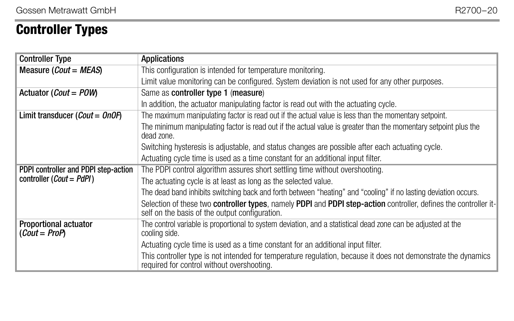### <span id="page-19-0"></span>Controller Types

| <b>Controller Type</b>                               | <b>Applications</b>                                                                                                                                                |
|------------------------------------------------------|--------------------------------------------------------------------------------------------------------------------------------------------------------------------|
| Measure ( <i>Cout = MEAS</i> )                       | This configuration is intended for temperature monitoring.                                                                                                         |
|                                                      | Limit value monitoring can be configured. System deviation is not used for any other purposes.                                                                     |
| Actuator ( <i>Cout = POW</i> )                       | Same as controller type 1 (measure)                                                                                                                                |
|                                                      | In addition, the actuator manipulating factor is read out with the actuating cycle.                                                                                |
| Limit transducer ( <i>Cout = <math>OnOF</math></i> ) | The maximum manipulating factor is read out if the actual value is less than the momentary setpoint.                                                               |
|                                                      | The minimum manipulating factor is read out if the actual value is greater than the momentary setpoint plus the<br>dead zone.                                      |
|                                                      | Switching hysteresis is adjustable, and status changes are possible after each actuating cycle.                                                                    |
|                                                      | Actuating cycle time is used as a time constant for an additional input filter.                                                                                    |
| PDPI controller and PDPI step-action                 | The PDPI control algorithm assures short settling time without overshooting.                                                                                       |
| controller ( <i>Cout = PdPI</i> )                    | The actuating cycle is at least as long as the selected value.                                                                                                     |
|                                                      | The dead band inhibits switching back and forth between "heating" and "cooling" if no lasting deviation occurs.                                                    |
|                                                      | Selection of these two controller types, namely PDPI and PDPI step-action controller, defines the controller it-<br>self on the basis of the output configuration. |
| <b>Proportional actuator</b><br>(Cout = ProP)        | The control variable is proportional to system deviation, and a statistical dead zone can be adjusted at the<br>cooling side.                                      |
|                                                      | Actuating cycle time is used as a time constant for an additional input filter.                                                                                    |
|                                                      | This controller type is not intended for temperature regulation, because it does not demonstrate the dynamics<br>required for control without overshooting.        |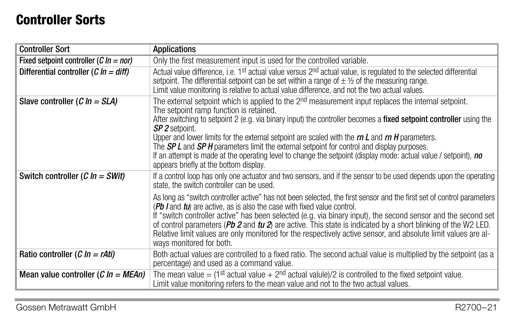### <span id="page-20-0"></span>Controller Sorts

| <b>Controller Sort</b>                    | <b>Applications</b>                                                                                                                                                                                                                                                                                                                                                                                                                                                                                                                                                                                                                                              |
|-------------------------------------------|------------------------------------------------------------------------------------------------------------------------------------------------------------------------------------------------------------------------------------------------------------------------------------------------------------------------------------------------------------------------------------------------------------------------------------------------------------------------------------------------------------------------------------------------------------------------------------------------------------------------------------------------------------------|
| Fixed setpoint controller (C $ln = nor$ ) | Only the first measurement input is used for the controlled variable.                                                                                                                                                                                                                                                                                                                                                                                                                                                                                                                                                                                            |
| Differential controller (C $ln = diff$ )  | Actual value difference, i.e. 1st actual value versus 2 <sup>nd</sup> actual value, is requlated to the selected differential<br>setpoint. The differential setpoint can be set within a range of $\pm$ 1/2 of the measuring range.<br>Limit value monitoring is relative to actual value difference, and not the two actual values.                                                                                                                                                                                                                                                                                                                             |
| Slave controller (C $ln = SLA$ )          | The external setpoint which is applied to the $2nd$ measurement input replaces the internal setpoint.<br>The setpoint ramp function is retained.<br>After switching to setpoint 2 (e.g. via binary input) the controller becomes a <b>fixed setpoint controller</b> using the<br>SP 2 setpoint.<br>Upper and lower limits for the external setpoint are scaled with the $rnL$ and $rnH$ parameters.<br>The $SPL$ and $SPH$ parameters limit the external setpoint for control and display purposes.<br>If an attempt is made at the operating level to change the setpoint (display mode: actual value / setpoint), no<br>appears briefly at the bottom display. |
| Switch controller (C $ln = SWit$ )        | If a control loop has only one actuator and two sensors, and if the sensor to be used depends upon the operating<br>state, the switch controller can be used.                                                                                                                                                                                                                                                                                                                                                                                                                                                                                                    |
|                                           | As long as "switch controller active" has not been selected, the first sensor and the first set of control parameters<br>(Pb I and tu) are active, as is also the case with fixed value control.<br>If "switch controller active" has been selected (e.g. via binary input), the second sensor and the second set<br>of control parameters ( $Pb$ 2 and $\mu$ 2) are active. This state is indicated by a short blinking of the W2 LED.<br>Relative limit values are only monitored for the respectively active sensor, and absolute limit values are al-<br>ways monitored for both.                                                                            |
| Ratio controller (C $ln = rAti$ )         | Both actual values are controlled to a fixed ratio. The second actual value is multiplied by the setpoint (as a<br>percentage) and used as a command value.                                                                                                                                                                                                                                                                                                                                                                                                                                                                                                      |
| Mean value controller (C $ln = MEAn$ )    | The mean value = $(1st actual value + 2nd actual value)/2$ is controlled to the fixed setpoint value.<br>Limit value monitoring refers to the mean value and not to the two actual values.                                                                                                                                                                                                                                                                                                                                                                                                                                                                       |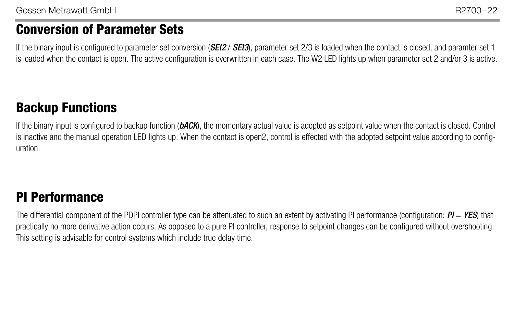### <span id="page-21-0"></span>Conversion of Parameter Sets

If the binary input is configured to parameter set conversion (SEt2 / SEt3), parameter set 2/3 is loaded when the contact is closed, and paramter set 1 is loaded when the contact is open. The active configuration is overwritten in each case. The W2 LED lights up when parameter set 2 and/or 3 is active.

### <span id="page-21-1"></span>Backup Functions

If the binary input is configured to backup function (**bACK**), the momentary actual value is adopted as setpoint value when the contact is closed. Control is inactive and the manual operation LED lights up. When the contact is open2, control is effected with the adopted setpoint value according to configuration.

### <span id="page-21-2"></span>PI Performance

The differential component of the PDPI controller type can be attenuated to such an extent by activating PI performance (configuration:  $PI = YES$ ) that practically no more derivative action occurs. As opposed to a pure PI controller, response to setpoint changes can be configured without overshooting. This setting is advisable for control systems which include true delay time.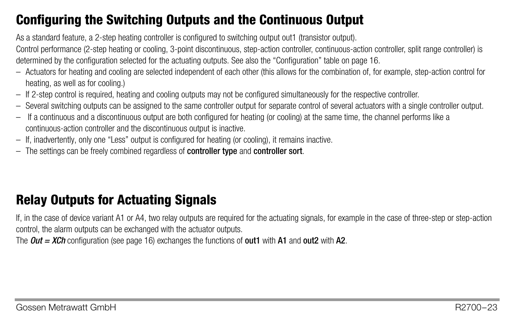### <span id="page-22-0"></span>Configuring the Switching Outputs and the Continuous Output

As a standard feature, a 2-step heating controller is configured to switching output out1 (transistor output).

Control performance (2-step heating or cooling, 3-point discontinuous, step-action controller, continuous-action controller, split range controller) is determined by the configuration selected for the actuating outputs. See also the "Configuration" table on page 16.

- Actuators for heating and cooling are selected independent of each other (this allows for the combination of, for example, step-action control for heating, as well as for cooling.)
- If 2-step control is required, heating and cooling outputs may not be configured simultaneously for the respective controller.
- Several switching outputs can be assigned to the same controller output for separate control of several actuators with a single controller output.
- If a continuous and a discontinuous output are both configured for heating (or cooling) at the same time, the channel performs like a continuous-action controller and the discontinuous output is inactive.
- If, inadvertently, only one "Less" output is configured for heating (or cooling), it remains inactive.
- The settings can be freely combined regardless of **controller type** and **controller sort**.

### <span id="page-22-1"></span>Relay Outputs for Actuating Signals

If, in the case of device variant A1 or A4, two relay outputs are required for the actuating signals, for example in the case of three-step or step-action control, the alarm outputs can be exchanged with the actuator outputs.

The *Out = XCh* configuration (see page 16) exchanges the functions of out1 with A1 and out2 with A2.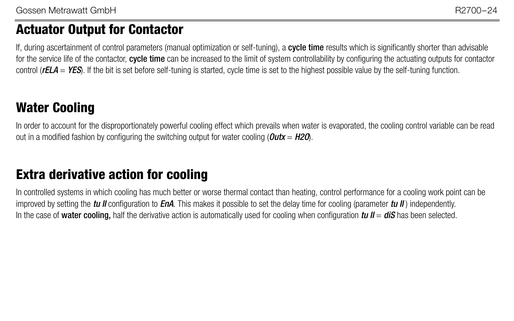### <span id="page-23-0"></span>Actuator Output for Contactor

If, during ascertainment of control parameters (manual optimization or self-tuning), a cycle time results which is significantly shorter than advisable for the service life of the contactor, cycle time can be increased to the limit of system controllability by configuring the actuating outputs for contactor control ( $rELA = YES$ ). If the bit is set before self-tuning is started, cycle time is set to the highest possible value by the self-tuning function.

### <span id="page-23-1"></span>Water Cooling

In order to account for the disproportionately powerful cooling effect which prevails when water is evaporated, the cooling control variable can be read out in a modified fashion by configuring the switching output for water cooling (*Outx = H2O*).

### <span id="page-23-2"></span>Extra derivative action for cooling

In controlled systems in which cooling has much better or worse thermal contact than heating, control performance for a cooling work point can be improved by setting the tu II configuration to  $EnA$ . This makes it possible to set the delay time for cooling (parameter tu II) independently. In the case of **water cooling**, half the derivative action is automatically used for cooling when configuration tu  $II =$  diS has been selected.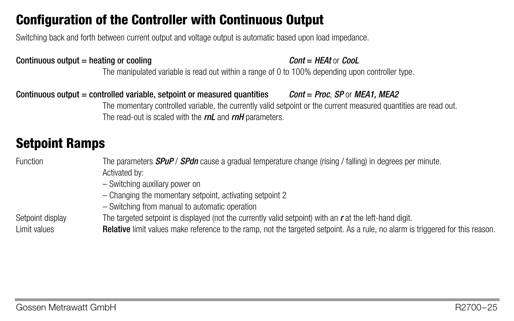### <span id="page-24-0"></span>Configuration of the Controller with Continuous Output

Switching back and forth between current output and voltage output is automatic based upon load impedance.

## The manipulated variable is read out within a range of 0 to 100% depending upon controller type. Continuous output = controlled variable, setpoint or measured quantities  $Cont = Proc$ , SP or MEA1, MEA2

The momentary controlled variable, the currently valid setpoint or the current measured quantities are read out. The read-out is scaled with the *rnL* and *rnH* parameters.

### <span id="page-24-1"></span>Setpoint Ramps

Function The parameters  $SPL$  *P is SPuP / SPdn* cause a gradual temperature change (rising / falling) in degrees per minute. Activated by:

- Switching auxiliary power on
- Changing the momentary setpoint, activating setpoint 2
- Switching from manual to automatic operation

Setpoint display The targeted setpoint is displayed (not the currently valid setpoint) with an r at the left-hand digit.

Limit values **Relative** limit values make reference to the ramp, not the targeted setpoint. As a rule, no alarm is triggered for this reason.

# $\text{Continuous output} = \text{heating or cooling}$  Continuous output = heating or cooling Cont = HEAt or Cool.

Gossen Metrawatt GmbH **R2700–25**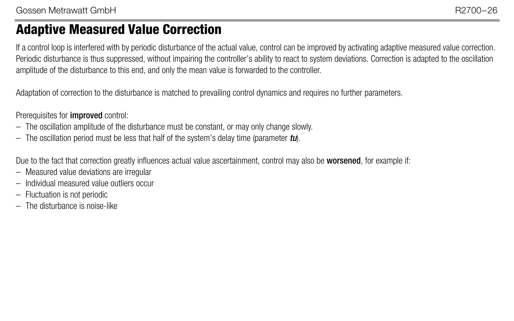### <span id="page-25-0"></span>Adaptive Measured Value Correction

If a control loop is interfered with by periodic disturbance of the actual value, control can be improved by activating adaptive measured value correction. Periodic disturbance is thus suppressed, without impairing the controller's ability to react to system deviations. Correction is adapted to the oscillation amplitude of the disturbance to this end, and only the mean value is forwarded to the controller.

Adaptation of correction to the disturbance is matched to prevailing control dynamics and requires no further parameters.

Prerequisites for **improved** control:

- The oscillation amplitude of the disturbance must be constant, or may only change slowly.
- The oscillation period must be less that half of the system's delay time (parameter  $\mathbf{t} u$ ).

Due to the fact that correction greatly influences actual value ascertainment, control may also be **worsened**, for example if:

- Measured value deviations are irregular
- Individual measured value outliers occur
- Fluctuation is not periodic
- The disturbance is noise-like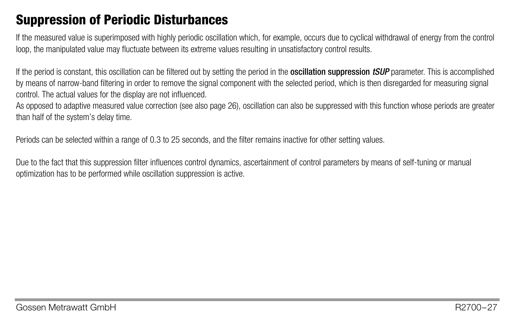### <span id="page-26-0"></span>Suppression of Periodic Disturbances

If the measured value is superimposed with highly periodic oscillation which, for example, occurs due to cyclical withdrawal of energy from the control loop, the manipulated value may fluctuate between its extreme values resulting in unsatisfactory control results.

If the period is constant, this oscillation can be filtered out by setting the period in the **oscillation suppression tSUP** parameter. This is accomplished by means of narrow-band filtering in order to remove the signal component with the selected period, which is then disregarded for measuring signal control. The actual values for the display are not influenced.

As opposed to adaptive measured value correction (see also page [26\)](#page-25-0), oscillation can also be suppressed with this function whose periods are greater than half of the system's delay time.

Periods can be selected within a range of 0.3 to 25 seconds, and the filter remains inactive for other setting values.

Due to the fact that this suppression filter influences control dynamics, ascertainment of control parameters by means of self-tuning or manual optimization has to be performed while oscillation suppression is active.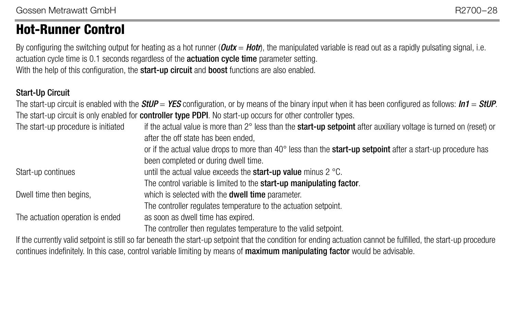### <span id="page-27-0"></span>Hot-Runner Control

By configuring the switching output for heating as a hot runner (Out**x = Hotr)**, the manipulated variable is read out as a rapidly pulsating signal, i.e. actuation cycle time is 0.1 seconds regardless of the **actuation cycle time** parameter setting. With the help of this configuration, the **start-up circuit** and **boost** functions are also enabled.

#### Start-Up Circuit

The start-up circuit is enabled with the  $StUP = YES$  configuration, or by means of the binary input when it has been configured as follows:  $In1 = StUP$ . The start-up circuit is only enabled for **controller type PDPI**. No start-up occurs for other controller types.

| The start-up procedure is initiated | if the actual value is more than $2^{\circ}$ less than the <b>start-up setpoint</b> after auxiliary voltage is turned on (reset) or<br>after the off state has been ended. |
|-------------------------------------|----------------------------------------------------------------------------------------------------------------------------------------------------------------------------|
|                                     | or if the actual value drops to more than $40^{\circ}$ less than the <b>start-up setpoint</b> after a start-up procedure has                                               |
|                                     | been completed or during dwell time.                                                                                                                                       |
| Start-up continues                  | until the actual value exceeds the <b>start-up value</b> minus $2 \degree C$ .                                                                                             |
|                                     | The control variable is limited to the start-up manipulating factor.                                                                                                       |
| Dwell time then begins,             | which is selected with the <b>dwell time</b> parameter.                                                                                                                    |
|                                     | The controller regulates temperature to the actuation setpoint.                                                                                                            |
| The actuation operation is ended    | as soon as dwell time has expired.                                                                                                                                         |
|                                     | The controller then regulates temperature to the valid setpoint.                                                                                                           |

If the currently valid setpoint is still so far beneath the start-up setpoint that the condition for ending actuation cannot be fulfilled, the start-up procedure continues indefinitely. In this case, control variable limiting by means of maximum manipulating factor would be advisable.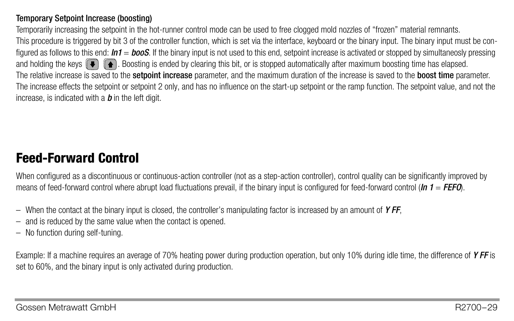#### <span id="page-28-1"></span>Temporary Setpoint Increase (boosting)

Temporarily increasing the setpoint in the hot-runner control mode can be used to free clogged mold nozzles of "frozen" material remnants. This procedure is triggered by bit 3 of the controller function, which is set via the interface, keyboard or the binary input. The binary input must be configured as follows to this end:  $ln 1 = b00S$ . If the binary input is not used to this end, setpoint increase is activated or stopped by simultaneosly pressing and holding the keys  $\blacksquare$ . Boosting is ended by clearing this bit, or is stopped automatically after maximum boosting time has elapsed. The relative increase is saved to the **setpoint increase** parameter, and the maximum duration of the increase is saved to the **boost time** parameter. The increase effects the setpoint or setpoint 2 only, and has no influence on the start-up setpoint or the ramp function. The setpoint value, and not the increase, is indicated with a  **in the left digit.** 

### <span id="page-28-0"></span>Feed-Forward Control

When configured as a discontinuous or continuous-action controller (not as a step-action controller), control quality can be significantly improved by means of feed-forward control where abrupt load fluctuations prevail, if the binary input is configured for feed-forward control (In  $1 = FEF0$ ).

- When the contact at the binary input is closed, the controller's manipulating factor is increased by an amount of  $YFE$ .
- and is reduced by the same value when the contact is opened.
- No function during self-tuning.

Example: If a machine requires an average of 70% heating power during production operation, but only 10% during idle time, the difference of YFF is set to 60%, and the binary input is only activated during production.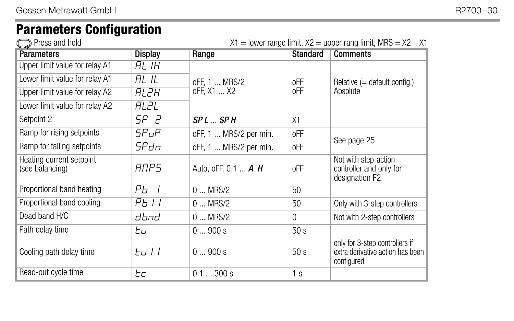### <span id="page-29-0"></span>Parameters Configuration

| Press and hold                              | $X1 =$ lower range limit, $X2 =$ upper rang limit, MRS = $X2 - X1$ |                             |                 |                                                                                  |  |
|---------------------------------------------|--------------------------------------------------------------------|-----------------------------|-----------------|----------------------------------------------------------------------------------|--|
| <b>Parameters</b>                           | Display                                                            | Range                       | <b>Standard</b> | <b>Comments</b>                                                                  |  |
| Upper limit value for relay A1              | RL IH                                                              |                             |                 |                                                                                  |  |
| Lower limit value for relay A1              | RL IL                                                              | oFF, 1  MRS/2               | 0FF             | Relative $(=$ default config.)                                                   |  |
| Upper limit value for relay A2              | RI PH                                                              | oFF. X1  X2                 | 0FF             | Absolute                                                                         |  |
| Lower limit value for relay A2              | וה וח                                                              |                             |                 |                                                                                  |  |
| Setpoint 2                                  | ק קף                                                               | SPLSPH                      | X1              |                                                                                  |  |
| Ramp for rising setpoints                   | SP uP                                                              | oFF, 1  MRS/2 per min.      | 0FF             |                                                                                  |  |
| Ramp for falling setpoints                  | SP d n                                                             | oFF, 1  MRS/2 per min.      | 0FF             | See page 25                                                                      |  |
| Heating current setpoint<br>(see balancing) | ANP S                                                              | Auto, oFF, $0.1$ <b>A H</b> | 0FF             | Not with step-action<br>controller and only for<br>designation F2                |  |
| Proportional band heating                   | Ph I                                                               | $0$ MRS/2                   | 50              |                                                                                  |  |
| Proportional band cooling                   | Pb 1 1                                                             | $0$ MRS/2                   | 50              | Only with 3-step controllers                                                     |  |
| Dead band H/C                               | dbnd                                                               | $0$ MRS/2                   | $\Omega$        | Not with 2-step controllers                                                      |  |
| Path delay time                             | Łυ                                                                 | 0900s                       | 50s             |                                                                                  |  |
| Cooling path delay time                     | Eu I I                                                             | 0900s                       | 50s             | only for 3-step controllers if<br>extra derivative action has been<br>configured |  |
| Read-out cycle time                         | Еc                                                                 | 0.1300 s                    | 1 <sub>s</sub>  |                                                                                  |  |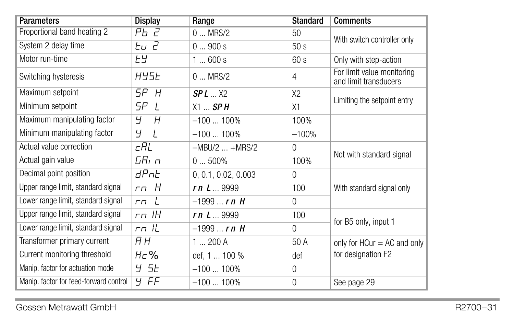| <b>Parameters</b>                      | <b>Display</b> | Range               | <b>Standard</b> | <b>Comments</b>                                     |  |
|----------------------------------------|----------------|---------------------|-----------------|-----------------------------------------------------|--|
| Proportional band heating 2            | РЬ 2           | $0$ MRS/2           | 50              | With switch controller only                         |  |
| System 2 delay time                    | tu 2           | 0900s               | 50 <sub>s</sub> |                                                     |  |
| Motor run-time                         | ĿУ             | 1600s               | 60s             | Only with step-action                               |  |
| Switching hysteresis                   | HY5E           | $0$ MRS/2           | 4               | For limit value monitoring<br>and limit transducers |  |
| Maximum setpoint                       | SP H           | $SPL \ldots X2$     | X2              |                                                     |  |
| Minimum setpoint                       | SΡ<br>$\prime$ | X1 SP H             | X1              | Limiting the setpoint entry                         |  |
| Maximum manipulating factor            | Ч<br>Н         | $-100100\%$         | 100%            |                                                     |  |
| Minimum manipulating factor            | Ч<br>$\prime$  | $-100100\%$         | $-100%$         |                                                     |  |
| Actual value correction                | r Al           | $-MBU/2$ $+MRS/2$   | $\theta$        |                                                     |  |
| Actual gain value                      | GAL n          | $0500\%$            | 100%            | Not with standard signal                            |  |
| Decimal point position                 | dPnE           | 0, 0.1, 0.02, 0.003 | $\Omega$        |                                                     |  |
| Upper range limit, standard signal     | rn H           | $rn L_{\dots} 9999$ | 100             | With standard signal only                           |  |
| Lower range limit, standard signal     | rn L           | $-1999$ rn H        | $\Omega$        |                                                     |  |
| Upper range limit, standard signal     | rn IH          | $rn L_{\dots} 9999$ | 100             |                                                     |  |
| Lower range limit, standard signal     | rn IL          | $-1999$ rn H        | $\Omega$        | for B5 only, input 1                                |  |
| Transformer primary current            | RН             | 1200A               | 50 A            | only for $HCur = AC$ and only                       |  |
| Current monitoring threshold           | $H_C$ %        | def, 1  100 %       | def             | for designation F2                                  |  |
| Manip. factor for actuation mode       | 9 SE           | $-100100\%$         | $\Omega$        |                                                     |  |
| Manip. factor for feed-forward control | 4 FF           | $-100100\%$         | $\Omega$        | See page 29                                         |  |

п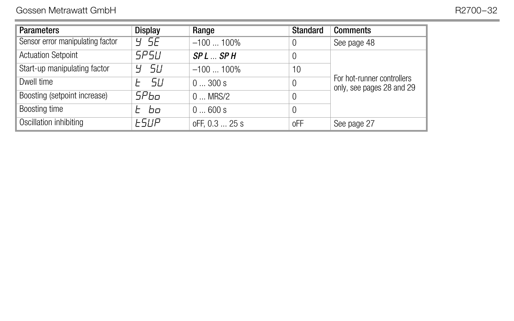#### Gossen Metrawatt GmbH **R2700–32**

| <b>Parameters</b>                | Display     | Range           | <b>Standard</b> | <b>Comments</b>                                         |
|----------------------------------|-------------|-----------------|-----------------|---------------------------------------------------------|
| Sensor error manipulating factor | 4 FF        | $-100100\%$     | $\Omega$        | See page 48                                             |
| <b>Actuation Setpoint</b>        | 55511       | $SPL \dots SPH$ | $\Omega$        |                                                         |
| Start-up manipulating factor     | - 511<br>Ч  | $-100100\%$     | 10              |                                                         |
| Dwell time                       | 511         | 0300s           | 0               | For hot-runner controllers<br>only, see pages 28 and 29 |
| Boosting (setpoint increase)     | <i>SPhn</i> | $0$ MRS/2       | $\Omega$        |                                                         |
| Boosting time                    | hn          | 0600s           | 0               |                                                         |
| Oscillation inhibiting           | <b>FSHP</b> | oFF, 0.3  25 s  | 0FF             | See page 27                                             |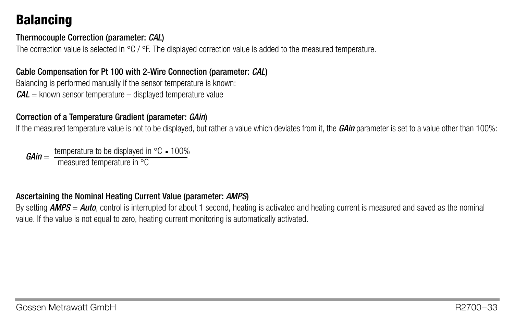### <span id="page-32-0"></span>**Balancing**

#### Thermocouple Correction (parameter: CAL)

The correction value is selected in  $\degree$ C /  $\degree$ E. The displayed correction value is added to the measured temperature.

#### Cable Compensation for Pt 100 with 2-Wire Connection (parameter: CAL)

Balancing is performed manually if the sensor temperature is known:  $CAL =$  known sensor temperature – displayed temperature value

#### Correction of a Temperature Gradient (parameter: GAin)

If the measured temperature value is not to be displayed, but rather a value which deviates from it, the **GAin** parameter is set to a value other than 100%:

**GAin** =  $\frac{\text{temperature to be displayed in } ^{\circ}C \cdot 100\%}{\text{measured temperature in } ^{\circ}C}$ 

#### Ascertaining the Nominal Heating Current Value (parameter: AMPS)

By setting **AMPS** = **Auto**, control is interrupted for about 1 second, heating is activated and heating current is measured and saved as the nominal value. If the value is not equal to zero, heating current monitoring is automatically activated.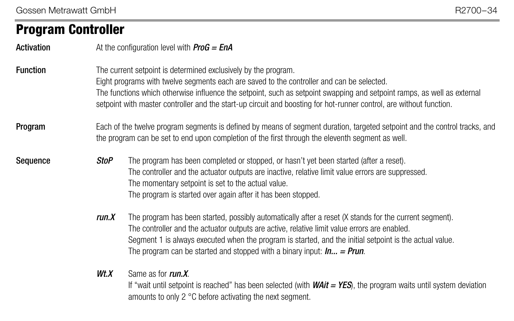### <span id="page-33-0"></span>Program Controller

| Activation      |             | At the configuration level with $ProG = EnA$                                                                                                                                                                                                                                                                                                                                                                  |  |  |  |  |  |
|-----------------|-------------|---------------------------------------------------------------------------------------------------------------------------------------------------------------------------------------------------------------------------------------------------------------------------------------------------------------------------------------------------------------------------------------------------------------|--|--|--|--|--|
| <b>Function</b> |             | The current setpoint is determined exclusively by the program.<br>Eight programs with twelve segments each are saved to the controller and can be selected.<br>The functions which otherwise influence the setpoint, such as setpoint swapping and setpoint ramps, as well as external<br>setpoint with master controller and the start-up circuit and boosting for hot-runner control, are without function. |  |  |  |  |  |
| Program         |             | Each of the twelve program segments is defined by means of segment duration, targeted setpoint and the control tracks, and<br>the program can be set to end upon completion of the first through the eleventh segment as well.                                                                                                                                                                                |  |  |  |  |  |
| Sequence        | <b>StoP</b> | The program has been completed or stopped, or hasn't yet been started (after a reset).<br>The controller and the actuator outputs are inactive, relative limit value errors are suppressed.<br>The momentary setpoint is set to the actual value.<br>The program is started over again after it has been stopped.                                                                                             |  |  |  |  |  |
|                 | run.X       | The program has been started, possibly automatically after a reset (X stands for the current segment).<br>The controller and the actuator outputs are active, relative limit value errors are enabled.<br>Segment 1 is always executed when the program is started, and the initial setpoint is the actual value.<br>The program can be started and stopped with a binary input: $\ln a = Prun$ .             |  |  |  |  |  |
|                 | Wt.X        | Same as for <i>run.X</i> .<br>If "wait until setpoint is reached" has been selected (with $W$ Ait = YES), the program waits until system deviation<br>amounts to only 2 $\degree$ C before activating the next segment.                                                                                                                                                                                       |  |  |  |  |  |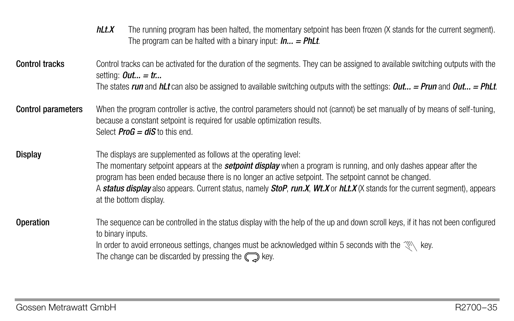hLt.X The running program has been halted, the momentary setpoint has been frozen (X stands for the current segment). The program can be halted with a binary input:  $In... = PhLt$ .

Control tracks Control tracks can be activated for the duration of the segments. They can be assigned to available switching outputs with the setting:  $Out... = tr...$ The states run and hLt can also be assigned to available switching outputs with the settings: Out... = Prun and Out... = PhLt.

Control parameters When the program controller is active, the control parameters should not (cannot) be set manually of by means of self-tuning. because a constant setpoint is required for usable optimization results. Select  $\text{ProG} = \text{dis}$  to this end.

**Display** The displays are supplemented as follows at the operating level: The momentary setpoint appears at the **setpoint display** when a program is running, and only dashes appear after the program has been ended because there is no longer an active setpoint. The setpoint cannot be changed. A status display also appears. Current status, namely StoP, run.X, Wt.X or hLt.X (X stands for the current segment), appears at the bottom display.

**Operation** The sequence can be controlled in the status display with the help of the up and down scroll keys, if it has not been configured to binary inputs. In order to avoid erroneous settings, changes must be acknowledged within 5 seconds with the  $\mathbb{W}$  key.

The change can be discarded by pressing the  $\bigcirc$  key.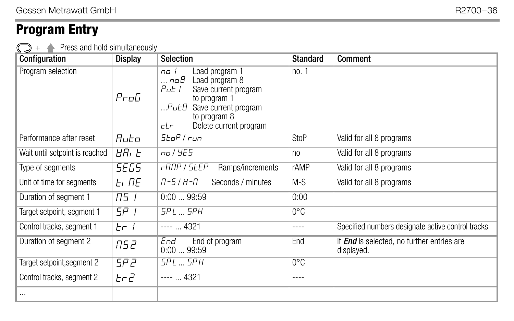### <span id="page-35-0"></span>Program Entry

+ **•** Press and hold simultaneously

| Configuration                  | Display | Selection                                                                                                                                                                          | <b>Standard</b> | <b>Comment</b>                                                  |
|--------------------------------|---------|------------------------------------------------------------------------------------------------------------------------------------------------------------------------------------|-----------------|-----------------------------------------------------------------|
| Program selection              | ProG    | Load program 1<br>na I<br>no B<br>Load program 8<br>PuE I<br>Save current program<br>to program 1<br>$$ PuEB Save current program<br>to program 8<br>Delete current program<br>cLr | no. 1           |                                                                 |
| Performance after reset        | Auto    | StoP / run                                                                                                                                                                         | <b>StoP</b>     | Valid for all 8 programs                                        |
| Wait until setpoint is reached | HA, E   | no / YES                                                                                                                                                                           | n <sub>0</sub>  | Valid for all 8 programs                                        |
| Type of segments               | SEGS.   | rANP / SEEP<br>Ramps/increments                                                                                                                                                    | rAMP            | Valid for all 8 programs                                        |
| Unit of time for segments      | ь, ПЕ   | П-5 / Н-П<br>Seconds / minutes                                                                                                                                                     | M-S             | Valid for all 8 programs                                        |
| Duration of segment 1          | NS 1    | 0:0099:59                                                                                                                                                                          | 0:00            |                                                                 |
| Target setpoint, segment 1     | $5P_1$  | $SPL$ $SPH$                                                                                                                                                                        | $0^{\circ}$ C   |                                                                 |
| Control tracks, segment 1      | Er I    | $---$ 4321                                                                                                                                                                         | ----            | Specified numbers designate active control tracks.              |
| Duration of segment 2          | ns a    | End of program<br>End<br>0:0099:59                                                                                                                                                 | End             | If <b>End</b> is selected, no further entries are<br>displayed. |
| Target setpoint, segment 2     | ך ק     | 5PL  5PH                                                                                                                                                                           | 0°C             |                                                                 |
| Control tracks, segment 2      | Er 2    | ----  4321                                                                                                                                                                         | ----            |                                                                 |
| $\cdots$                       |         |                                                                                                                                                                                    |                 |                                                                 |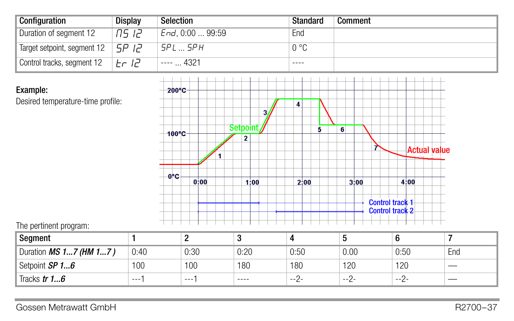| Configuration                      | <b>Display</b> | Selection      | Standard      | Comment |
|------------------------------------|----------------|----------------|---------------|---------|
| Duration of segment 12             | - הו           | End. 0:0099:59 | End           |         |
| Farget setpoint, segment 12   5P I |                | 5PL  5PH       | $0^{\circ}$ C |         |
| Control tracks, segment 12         | ح ہے۔          | $---$ 4321     | ----          |         |

#### Example:

Desired temperature-time profile:



The pertinent program:

| Segment                |      |      | .                      |             |       |          |                          |
|------------------------|------|------|------------------------|-------------|-------|----------|--------------------------|
| Duration MS 17 (HM 17) | 0:40 | 0:30 | 0:20                   | 0:50        | 0.00  | 0:50     | End                      |
| Setpoint SP 16         | 100  | 100  | 180                    | 180         | 120   | 120      | __                       |
| Tracks tr 16           | ---  | ---  | $\cdots \cdots \cdots$ | $-- \prime$ | $- -$ | $-- 1 -$ | $\overline{\phantom{a}}$ |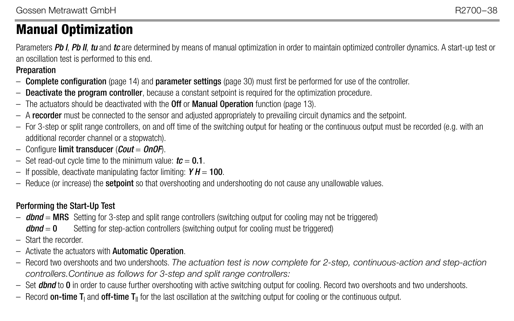### <span id="page-37-0"></span>Manual Optimization

Parameters Pb I. Pb II. tu and tc are determined by means of manual optimization in order to maintain optimized controller dynamics. A start-up test or an oscillation test is performed to this end.

#### Preparation

- Complete configuration (page [14](#page-13-0)) and parameter settings (page [30\)](#page-29-0) must first be performed for use of the controller.
- **Deactivate the program controller**, because a constant setpoint is required for the optimization procedure.
- The actuators should be deactivated with the **Off** or **Manual Operation** function (page [13\)](#page-12-0).
- $-$  A recorder must be connected to the sensor and adjusted appropriately to prevailing circuit dynamics and the setpoint.
- For 3-step or split range controllers, on and off time of the switching output for heating or the continuous output must be recorded (e.g. with an additional recorder channel or a stopwatch).
- Configure limit transducer (*Cout =*  $OnOF$ *)*.
- Set read-out cycle time to the minimum value:  $tc = 0.1$ .
- If possible, deactivate manipulating factor limiting:  $YH = 100$ .
- Reduce (or increase) the **setpoint** so that overshooting and undershooting do not cause any unallowable values.

### Performing the Start-Up Test

- dbnd = MRS Setting for 3-step and split range controllers (switching output for cooling may not be triggered)  $dbnd = 0$  Setting for step-action controllers (switching output for cooling must be triggered)
- Start the recorder.
- Activate the actuators with Automatic Operation.
- Record two overshoots and two undershoots. The actuation test is now complete for 2-step, continuous-action and step-action controllers.Continue as follows for 3-step and split range controllers:
- Set **dbnd** to 0 in order to cause further overshooting with active switching output for cooling. Record two overshoots and two undershoots.
- $-$  Record **on-time T**<sub>I</sub> and **off-time T**<sub>II</sub> for the last oscillation at the switching output for cooling or the continuous output.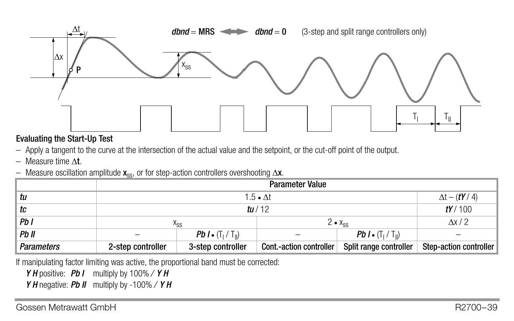

#### Evaluating the Start-Up Test

- Apply a tangent to the curve at the intersection of the actual value and the setpoint, or the cut-off point of the output.
- $-$  Measure time  $\Delta t$ .
- Measure oscillation amplitude  $x_{\rm cs}$ , or for step-action controllers overshooting  $\Delta x$ .

|            | <b>Parameter Value</b> |                          |                         |                                 |                        |  |
|------------|------------------------|--------------------------|-------------------------|---------------------------------|------------------------|--|
| . tu       |                        | $\Delta t - (tY/4)$      |                         |                                 |                        |  |
| tc         |                        | tY/100                   |                         |                                 |                        |  |
| Pb I       |                        | A <sub>SS</sub>          | $2 \bullet X_{SS}$      | $\Delta x/2$                    |                        |  |
| Pb II      |                        | $Pb I \bullet (T_1/T_0)$ |                         | <b>Pb</b> $I \bullet (T_1/T_1)$ |                        |  |
| Parameters | 2-step controller      | 3-step controller        | Cont.-action controller | Split range controller          | Step-action controller |  |

If manipulating factor limiting was active, the proportional band must be corrected:

Y H positive: Pb I multiply by 100% / Y H

Y H negative: Pb II multiply by -100% / Y H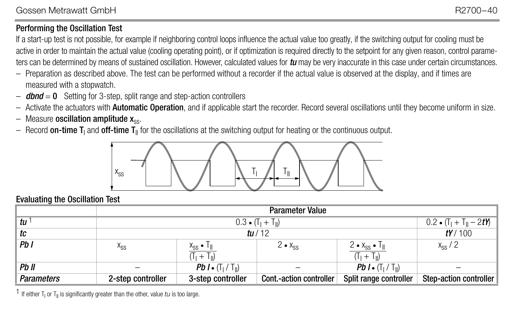#### Performing the Oscillation Test

If a start-up test is not possible, for example if neighboring control loops influence the actual value too greatly, if the switching output for cooling must be active in order to maintain the actual value (cooling operating point), or if optimization is required directly to the setpoint for any given reason, control parameters can be determined by means of sustained oscillation. However, calculated values for tu may be very inaccurate in this case under certain circumstances.

- Preparation as described above. The test can be performed without a recorder if the actual value is observed at the display, and if times are measured with a stopwatch.
- $dbnd = 0$  Setting for 3-step, split range and step-action controllers
- Activate the actuators with Automatic Operation, and if applicable start the recorder. Record several oscillations until they become uniform in size.
- Measure **oscillation amplitude**  $x_{\text{ss}}$ .
- $-$  Record on-time T<sub>I</sub> and off-time T<sub>II</sub> for the oscillations at the switching output for heating or the continuous output.



#### Evaluating the Oscillation Test

|                   | <b>Parameter Value</b> |                                               |                         |                                          |                        |  |
|-------------------|------------------------|-----------------------------------------------|-------------------------|------------------------------------------|------------------------|--|
| tu                |                        | $0.2 \cdot (T_1 + T_1 - 2t)$                  |                         |                                          |                        |  |
| tc                |                        |                                               | tu/12                   |                                          | tY/100                 |  |
| Pb I              | $X_{SS}$               | $X_{SS} \cdot I_{\parallel}$<br>$(T_1 + T_1)$ | $2 \cdot X_{ss}$        | 2 • $X_{SS}$ • $T_{II}$<br>$(T_1 + T_0)$ | $X_{SS}$ / 2           |  |
| Pb II             |                        | <b>Pb</b> $I \bullet (T_1/T_0)$               |                         | <b>Pb</b> $I \bullet (T_1/T_0)$          |                        |  |
| <b>Parameters</b> | 2-step controller      | 3-step controller                             | Cont.-action controller | Split range controller                   | Step-action controller |  |

1 If either  $T_1$  or  $T_{II}$  is significantly greater than the other, value  $t\omega$  is too large.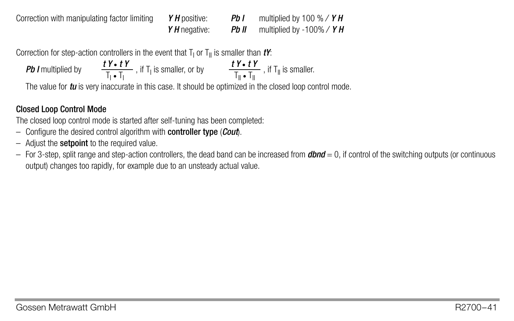| Correction with manipulating factor limiting $YH$ positive: |                | Pb I  | multiplied by 100 % / $YH$           |
|-------------------------------------------------------------|----------------|-------|--------------------------------------|
|                                                             | $YH$ negative: | Pb II | multiplied by -100% / $\bm{Y}\bm{H}$ |

Correction for step-action controllers in the event that  $T_1$  or  $T_{\parallel}$  is smaller than  $tY$ :

**Pb I** multiplied by  $\frac{t\,V \cdot t\,V}{T_1 \cdot T_1}$ , if  $T_1$  is smaller, or by  $\frac{t\,V \cdot t\,V}{T_{\parallel} \cdot T_{\parallel}}$ , if  $T_{\parallel}$  is smaller.

The value for  $t\omega$  is very inaccurate in this case. It should be optimized in the closed loop control mode.

#### Closed Loop Control Mode

The closed loop control mode is started after self-tuning has been completed:

- Configure the desired control algorithm with **controller type** (*Cout*).
- Adjust the **setpoint** to the required value.
- $-$  For 3-step, split range and step-action controllers, the dead band can be increased from **dbnd** = 0, if control of the switching outputs (or continuous output) changes too rapidly, for example due to an unsteady actual value.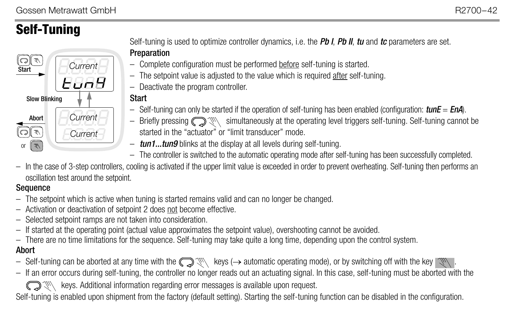### <span id="page-41-0"></span>Self-Tuning



Self-tuning is used to optimize controller dynamics, i.e. the **Pb I. Pb II, tu** and **tc** parameters are set. **Preparation** 

- Complete configuration must be performed before self-tuning is started.
- The setpoint value is adjusted to the value which is required after self-tuning.
- Deactivate the program controller.

#### **Start**

- Self-tuning can only be started if the operation of self-tuning has been enabled (configuration:  $tunE = EnA$ ).
- Briefly pressing  $\mathbb{S}$  simultaneously at the operating level triggers self-tuning. Self-tuning cannot be started in the "actuator" or "limit transducer" mode.
- **tun1...tun9** blinks at the display at all levels during self-tuning.
- The controller is switched to the automatic operating mode after self-tuning has been successfully completed.
- In the case of 3-step controllers, cooling is activated if the upper limit value is exceeded in order to prevent overheating. Self-tuning then performs an oscillation test around the setpoint.

#### **Sequence**

- The setpoint which is active when tuning is started remains valid and can no longer be changed.
- Activation or deactivation of setpoint 2 does not become effective.
- Selected setpoint ramps are not taken into consideration.
- If started at the operating point (actual value approximates the setpoint value), overshooting cannot be avoided.
- There are no time limitations for the sequence. Self-tuning may take quite a long time, depending upon the control system.

#### Abort

- Self-tuning can be aborted at any time with the  $\mathbb{Q}$  ( keys ( $\rightarrow$  automatic operating mode), or by switching off with the key  $\mathbb{Q}$ .
- If an error occurs during self-tuning, the controller no longer reads out an actuating signal. In this case, self-tuning must be aborted with the

keys. Additional information regarding error messages is available upon request.

Self-tuning is enabled upon shipment from the factory (default setting). Starting the self-tuning function can be disabled in the configuration.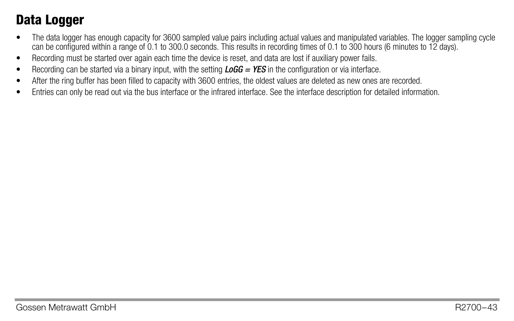## <span id="page-42-0"></span>Data Logger

- The data logger has enough capacity for 3600 sampled value pairs including actual values and manipulated variables. The logger sampling cycle can be configured within a range of 0.1 to 300.0 seconds. This results in recording times of 0.1 to 300 hours (6 minutes to 12 days).
- Recording must be started over again each time the device is reset, and data are lost if auxiliary power fails.
- Recording can be started via a binary input, with the setting  $\textit{LOGG} = \textit{YES}$  in the configuration or via interface.
- After the ring buffer has been filled to capacity with 3600 entries, the oldest values are deleted as new ones are recorded.
- Entries can only be read out via the bus interface or the infrared interface. See the interface description for detailed information.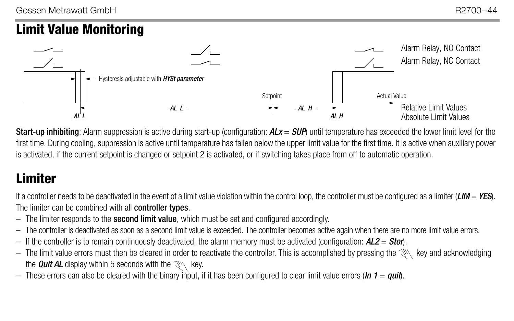### <span id="page-43-0"></span>Limit Value Monitoring



Start-up inhibiting: Alarm suppression is active during start-up (configuration:  $AX = SUB$  until temperature has exceeded the lower limit level for the first time. During cooling, suppression is active until temperature has fallen below the upper limit value for the first time. It is active when auxiliary power is activated, if the current setpoint is changed or setpoint 2 is activated, or if switching takes place from off to automatic operation.

### <span id="page-43-1"></span>Limiter

If a controller needs to be deactivated in the event of a limit value violation within the control loop, the controller must be configured as a limiter ( $LIM = YES$ ). The limiter can be combined with all **controller types**.

- The limiter responds to the second limit value, which must be set and configured accordingly.
- The controller is deactivated as soon as a second limit value is exceeded. The controller becomes active again when there are no more limit value errors.
- If the controller is to remain continuously deactivated, the alarm memory must be activated (configuration:  $AL2 = Stot$ ).
- The limit value errors must then be cleared in order to reactivate the controller. This is accomplished by pressing the  $\mathbb{W}_k$  key and acknowledging the **Quit AL** display within 5 seconds with the  $\mathbb{N}\setminus\mathbb{R}$ ey.
- These errors can also be cleared with the binary input, if it has been configured to clear limit value errors (In  $1 = q$ uit).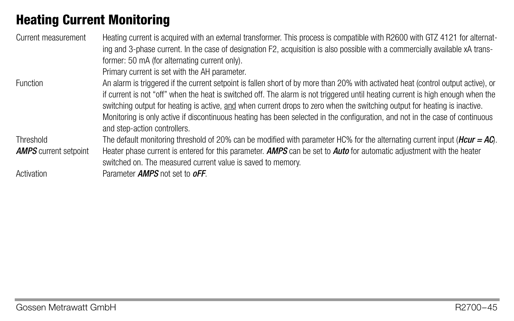### <span id="page-44-0"></span>Heating Current Monitoring

| Heating current is acquired with an external transformer. This process is compatible with R2600 with GTZ 4121 for alternat-        |
|------------------------------------------------------------------------------------------------------------------------------------|
| ing and 3-phase current. In the case of designation F2, acquisition is also possible with a commercially available xA trans-       |
| former: 50 mA (for alternating current only).                                                                                      |
| Primary current is set with the AH parameter.                                                                                      |
| An alarm is triggered if the current setpoint is fallen short of by more than 20% with activated heat (control output active), or  |
| if current is not "off" when the heat is switched off. The alarm is not triggered until heating current is high enough when the    |
| switching output for heating is active, and when current drops to zero when the switching output for heating is inactive.          |
| Monitoring is only active if discontinuous heating has been selected in the configuration, and not in the case of continuous       |
| and step-action controllers.                                                                                                       |
| The default monitoring threshold of 20% can be modified with parameter HC% for the alternating current input ( <i>Hcur = AC</i> ). |
| Heater phase current is entered for this parameter. <b>AMPS</b> can be set to <b>Auto</b> for automatic adjustment with the heater |
| switched on. The measured current value is saved to memory.                                                                        |
| Parameter <b>AMPS</b> not set to <b>oFF</b> .                                                                                      |
|                                                                                                                                    |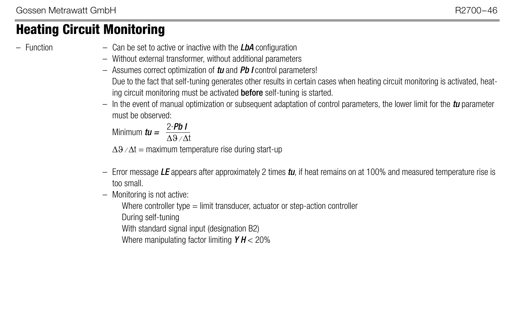### <span id="page-45-0"></span>Heating Circuit Monitoring

- 
- $-$  Function  $-$  Can be set to active or inactive with the **LbA** configuration
	- Without external transformer, without additional parameters
	- $-$  Assumes correct optimization of **tu** and **Pb I** control parameters!

Due to the fact that self-tuning generates other results in certain cases when heating circuit monitoring is activated, heating circuit monitoring must be activated before self-tuning is started.

 $-$  In the event of manual optimization or subsequent adaptation of control parameters, the lower limit for the tu parameter must be observed:

Minimum 
$$
tu = \frac{2 \cdot Pb \, I}{\Delta \vartheta / \Delta t}
$$

 $\Delta$ 9/ $\Delta$ t = maximum temperature rise during start-up

- Error message LE appears after approximately 2 times tu, if heat remains on at 100% and measured temperature rise is too small.
- Monitoring is not active:

Where controller type  $=$  limit transducer, actuator or step-action controller

During self-tuning

With standard signal input (designation B2)

Where manipulating factor limiting  $YH < 20\%$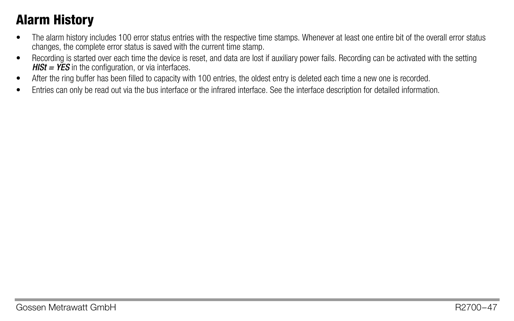## <span id="page-46-0"></span>Alarm History

- The alarm history includes 100 error status entries with the respective time stamps. Whenever at least one entire bit of the overall error status changes, the complete error status is saved with the current time stamp.
- Recording is started over each time the device is reset, and data are lost if auxiliary power fails. Recording can be activated with the setting  $HIST = \overline{YES}$  in the configuration, or via interfaces.
- After the ring buffer has been filled to capacity with 100 entries, the oldest entry is deleted each time a new one is recorded.
- Entries can only be read out via the bus interface or the infrared interface. See the interface description for detailed information.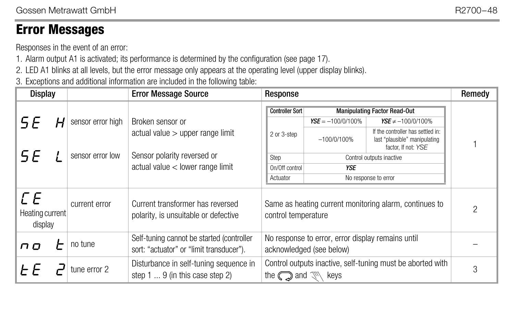### <span id="page-47-0"></span>Error Messages

Responses in the event of an error:

1. Alarm output A1 is activated; its performance is determined by the configuration (see page [17\)](#page-16-0).

2. LED A1 blinks at all levels, but the error message only appears at the operating level (upper display blinks).

3. Exceptions and additional information are included in the following table:

| <b>Display</b>                   |                   | <b>Error Message Source</b>                                                           | Response                                                                      |                     |                                                                                           | Remedy |
|----------------------------------|-------------------|---------------------------------------------------------------------------------------|-------------------------------------------------------------------------------|---------------------|-------------------------------------------------------------------------------------------|--------|
|                                  | sensor error high | Broken sensor or                                                                      | <b>Controller Sort</b>                                                        | $YSE = -100/0/100%$ | <b>Manipulating Factor Read-Out</b><br>$YSE \neq -100/0/100\%$                            |        |
| 5 F                              |                   | actual value > upper range limit                                                      | 2 or 3-step                                                                   | $-100/0/100%$       | If the controller has settled in:<br>last "plausible" manipulating<br>factor, If not: YSE |        |
| 5 F                              | sensor error low  | Sensor polarity reversed or                                                           | Step                                                                          |                     | Control outputs inactive                                                                  |        |
|                                  |                   | actual value < lower range limit                                                      | On/Off control                                                                | YSE                 |                                                                                           |        |
|                                  |                   |                                                                                       | Actuator                                                                      |                     | No response to error                                                                      |        |
| LE<br>Heating current<br>display | current error     | Current transformer has reversed<br>polarity, is unsuitable or defective              | control temperature                                                           |                     | Same as heating current monitoring alarm, continues to                                    | 2      |
| n o                              | no tune           | Self-tuning cannot be started (controller<br>sort: "actuator" or "limit transducer"). | No response to error, error display remains until<br>acknowledged (see below) |                     |                                                                                           |        |
|                                  | tune error 2      | Disturbance in self-tuning sequence in<br>step 1  9 (in this case step 2)             | the $\bigcirc$ and $\mathbb{N}$                                               | keys                | Control outputs inactive, self-tuning must be aborted with                                | 3      |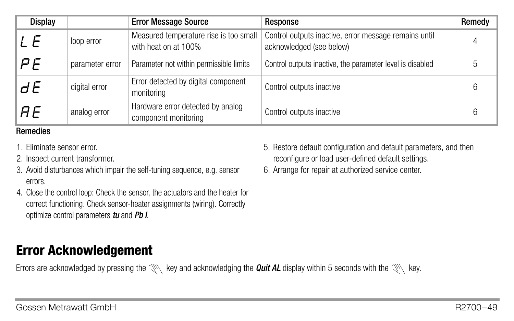| <b>Display</b> |                 | <b>Error Message Source</b>                                    | Response                                                                          | Remedy |
|----------------|-----------------|----------------------------------------------------------------|-----------------------------------------------------------------------------------|--------|
| IF             | loop error      | Measured temperature rise is too small<br>with heat on at 100% | Control outputs inactive, error message remains until<br>acknowledged (see below) |        |
| P <sub>E</sub> | parameter error | Parameter not within permissible limits                        | Control outputs inactive, the parameter level is disabled                         |        |
| dE             | digital error   | Error detected by digital component<br>monitoring              | Control outputs inactive                                                          | 6      |
| ЯE             | analog error    | Hardware error detected by analog<br>component monitoring      | Control outputs inactive                                                          | 6      |

#### **Remedies**

- 1. Eliminate sensor error.
- 2. Inspect current transformer.
- 3. Avoid disturbances which impair the self-tuning sequence, e.g. sensor errors.
- 4. Close the control loop: Check the sensor, the actuators and the heater for correct functioning. Check sensor-heater assignments (wiring). Correctly optimize control parameters tu and Pb I.

### <span id="page-48-0"></span>Error Acknowledgement

Errors are acknowledged by pressing the  $\mathbb{Q} \setminus \mathbb{R}$  key and acknowledging the *Quit AL* display within 5 seconds with the  $\mathbb{Q} \setminus \mathbb{R}$ ey.

- 5. Restore default configuration and default parameters, and then reconfigure or load user-defined default settings.
- 6. Arrange for repair at authorized service center.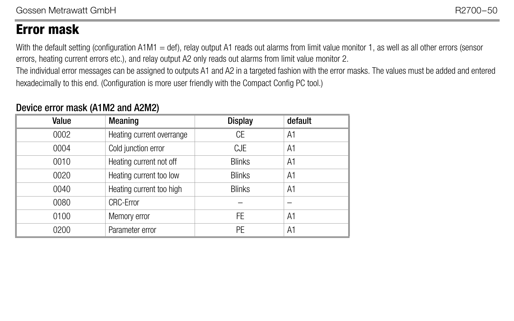Gossen Metrawatt GmbH R2700–50

### <span id="page-49-0"></span>Error mask

With the default setting (configuration A1M1 = def), relay output A1 reads out alarms from limit value monitor 1, as well as all other errors (sensor errors, heating current errors etc.), and relay output A2 only reads out alarms from limit value monitor 2.

The individual error messages can be assigned to outputs A1 and A2 in a targeted fashion with the error masks. The values must be added and entered hexadecimally to this end. (Configuration is more user friendly with the Compact Config PC tool.)

#### Device error mask (A1M2 and A2M2)

| Value | Meaning                                                     | <b>Display</b> | default        |
|-------|-------------------------------------------------------------|----------------|----------------|
| 0002  | Heating current overrange                                   | CE             | A <sub>1</sub> |
| 0004  | Cold junction error                                         | $C \cdot F$    | A1             |
| 0010  | Heating current not off                                     | <b>Blinks</b>  | A1             |
| 0020  | Heating current too low<br><b>Blinks</b><br>A <sub>1</sub>  |                |                |
| 0040  | Heating current too high<br>A <sub>1</sub><br><b>Blinks</b> |                |                |
| 0080  | <b>CRC-Error</b>                                            |                | -              |
| 0100  | FE<br>A1<br>Memory error                                    |                |                |
| 0200  | Parameter error                                             | PE             | A1             |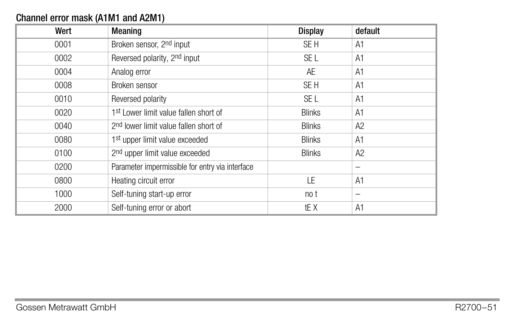### Channel error mask (A1M1 and A2M1)

| Wert | Meaning                                           | <b>Display</b>  | default        |
|------|---------------------------------------------------|-----------------|----------------|
| 0001 | Broken sensor, 2 <sup>nd</sup> input              | SE H            | A1             |
| 0002 | Reversed polarity, 2 <sup>nd</sup> input          | <b>SEL</b>      | A <sub>1</sub> |
| 0004 | Analog error                                      | AE              | A <sub>1</sub> |
| 0008 | Broken sensor                                     | SE <sub>H</sub> | A <sub>1</sub> |
| 0010 | Reversed polarity                                 | <b>SEL</b>      | A1             |
| 0020 | 1st Lower limit value fallen short of             | <b>Blinks</b>   | A <sub>1</sub> |
| 0040 | 2 <sup>nd</sup> lower limit value fallen short of | <b>Blinks</b>   | A2             |
| 0080 | 1 <sup>st</sup> upper limit value exceeded        | <b>Blinks</b>   | A1             |
| 0100 | 2 <sup>nd</sup> upper limit value exceeded        | <b>Blinks</b>   | A <sub>2</sub> |
| 0200 | Parameter impermissible for entry via interface   |                 |                |
| 0800 | Heating circuit error                             | LE              | A <sub>1</sub> |
| 1000 | Self-tuning start-up error                        | no t            | -              |
| 2000 | Self-tuning error or abort                        | tE X            | A1             |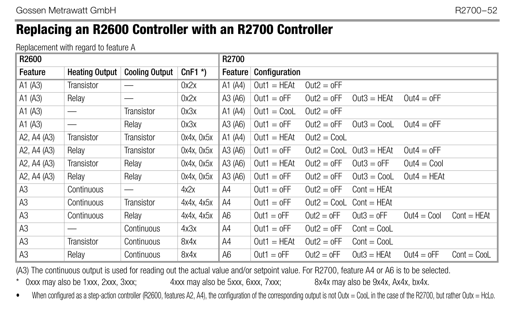## <span id="page-51-0"></span>Replacing an R2600 Controller with an R2700 Controller

Replacement with regard to feature A

| R <sub>2600</sub> |                       |                       |            | R2700          |               |               |                           |               |               |
|-------------------|-----------------------|-----------------------|------------|----------------|---------------|---------------|---------------------------|---------------|---------------|
| Feature           | <b>Heating Output</b> | <b>Cooling Output</b> | $ChF1^*$   | Feature        | Configuration |               |                           |               |               |
| A1 (A3)           | Transistor            |                       | 0x2x       | A1 (A4)        | $Out1 = HEAt$ | $Out2 = ofF$  |                           |               |               |
| A1 (A3)           | Relay                 |                       | 0x2x       | A3 (A6)        | $Out1 = ofF$  | $Out2 = ofF$  | $Out3 = HEAt$             | $Qut4 = oFF$  |               |
| A1 (A3)           | —                     | Transistor            | 0x3x       | A1 (A4)        | $Out1 = Cool$ | $Out2 = ofF$  |                           |               |               |
| A1 (A3)           | --                    | Relay                 | 0x3x       | A3 (A6)        | $Out1 = oFF$  | $Out2 = ofF$  | $Out3 = Cool$             | $Out4 = ofF$  |               |
| A2, A4 (A3)       | Transistor            | Transistor            | Ох4х, Ох5х | A1 (A4)        | $Out1 = HEAt$ | $Out2 = Cool$ |                           |               |               |
| A2, A4 (A3)       | Relay                 | Transistor            | 0x4x, 0x5x | A3 (A6)        | $Out1 = oFF$  |               | $Out2 = Cool$ Out3 = HEAt | $Out4 = ofF$  |               |
| A2, A4 (A3)       | Transistor            | Relay                 | Ox4x, Ox5x | A3 (A6)        | $Out1 = HEAt$ | $Out2 = ofF$  | $Qut3 = oFF$              | $Qut4 = Cool$ |               |
| A2, A4 (A3)       | Relay                 | Relay                 | 0х4х. 0х5х | A3 (A6)        | $Out1 = OFF$  | $Out2 = ofF$  | $Out3 = Cool$             | $Out4 = HEAt$ |               |
| A3                | Continuous            | —                     | 4x2x       | A4             | $Out1 = OFF$  | $Out2 = ofF$  | $Cont = HEAt$             |               |               |
| A3                | Continuous            | Transistor            | 4х4х, 4х5х | A4             | $Out1 = OFF$  | $Out2 = Cool$ | $Cont = HEAt$             |               |               |
| A3                | Continuous            | Relay                 | 4х4х, 4х5х | A <sub>6</sub> | $Out1 = oFF$  | $Out2 = ofF$  | $Out3 = ofF$              | $Out4 = Cool$ | $Cont = HEAt$ |
| A3                |                       | Continuous            | 4x3x       | A4             | $Out1 = OFF$  | $Out2 = ofF$  | $Cont = Cool$             |               |               |
| A <sub>3</sub>    | Transistor            | Continuous            | 8x4x       | A4             | $Out1 = HEAt$ | $Out2 = ofF$  | $Cont = Cool$             |               |               |
| A <sub>3</sub>    | Relay                 | Continuous            | 8x4x       | A <sub>6</sub> | $Out1 = oFF$  | $Out2 = ofF$  | $Out3 = HEAt$             | $Out4 = ofF$  | $Cont = Cool$ |

(A3) The continuous output is used for reading out the actual value and/or setpoint value. For R2700, feature A4 or A6 is to be selected.

0xxx may also be 1xxx, 2xxx, 3xxx; 4xxx may also be 5xxx, 6xxx, 7xxx; 8x4x may also be 9x4x, Ax4x, bx4x.

• When configured as a step-action controller (R2600, features A2, A4), the configuration of the corresponding output is not Outx = CooL in the case of the R2700, but rather Outx = HcLo.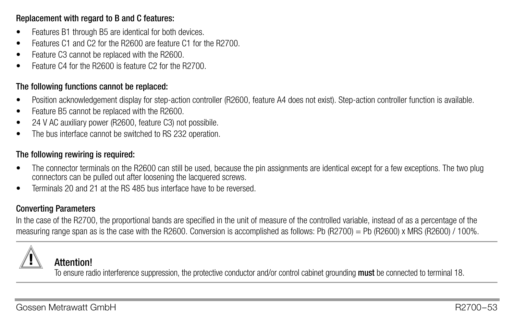#### Replacement with regard to B and C features:

- Features B1 through B5 are identical for both devices.
- Features C1 and C2 for the R2600 are feature C1 for the R2700.
- Feature C3 cannot be replaced with the R2600.
- Feature C4 for the R2600 is feature C2 for the R2700.

#### The following functions cannot be replaced:

- Position acknowledgement display for step-action controller (R2600, feature A4 does not exist). Step-action controller function is available.
- Feature B5 cannot be replaced with the R2600.
- 24 V AC auxiliary power (R2600, feature C3) not possibile.
- The bus interface cannot be switched to RS 232 operation.

#### The following rewiring is required:

- The connector terminals on the R2600 can still be used, because the pin assignments are identical except for a few exceptions. The two plug connectors can be pulled out after loosening the lacquered screws.
- Terminals 20 and 21 at the RS 485 bus interface have to be reversed.

#### Converting Parameters

In the case of the R2700, the proportional bands are specified in the unit of measure of the controlled variable, instead of as a percentage of the measuring range span as is the case with the R2600. Conversion is accomplished as follows: Pb (R2700) = Pb (R2600) x MRS (R2600) / 100%.



#### Attention!

To ensure radio interference suppression, the protective conductor and/or control cabinet grounding **must** be connected to terminal 18.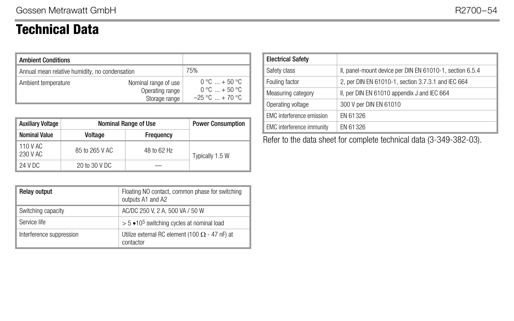### <span id="page-53-0"></span>Technical Data

| <b>Ambient Conditions</b>                      |                                                          |                                                        |
|------------------------------------------------|----------------------------------------------------------|--------------------------------------------------------|
| Annual mean relative humidity, no condensation | 75%                                                      |                                                        |
| Ambient temperature                            | Nominal range of use<br>Operating range<br>Storage range | $0 °C  + 50 °C$<br>$0 °C  + 50 °C$<br>$-25 °C$ + 70 °C |

| <b>Auxiliary Voltage</b> | <b>Nominal Range of Use</b> | <b>Power Consumption</b> |                 |
|--------------------------|-----------------------------|--------------------------|-----------------|
| <b>Nominal Value</b>     | Voltage                     | Frequency                |                 |
| 110 V AC<br>230 V AC     | 85 to 265 V AC              | 48 to 62 Hz              | Typically 1.5 W |
| 24 V DC                  | 20 to 30 V DC               |                          |                 |

| Relay output             | Floating NO contact, common phase for switching<br>outputs A1 and A2 |
|--------------------------|----------------------------------------------------------------------|
| Switching capacity       | AC/DC 250 V. 2 A, 500 VA / 50 W                                      |
| Service life             | $> 5$ •10 <sup>5</sup> switching cycles at nominal load              |
| Interference suppression | Utilize external RC element (100 $\Omega$ - 47 nF) at<br>contactor   |

| <b>Electrical Safety</b>  |                                                          |
|---------------------------|----------------------------------------------------------|
| Safety class              | II, panel-mount device per DIN EN 61010-1, section 6.5.4 |
| Fouling factor            | 2, per DIN EN 61010-1, section 3.7.3.1 and IEC 664       |
| Measuring category        | II, per DIN EN 61010 appendix J and IEC 664              |
| Operating voltage         | 300 V per DIN EN 61010                                   |
| FMC interference emission | FN 61326                                                 |
| EMC interference immunity | FN 61326                                                 |

Refer to the data sheet for complete technical data (3-349-382-03).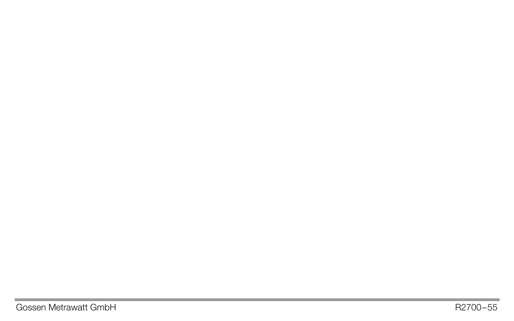m.